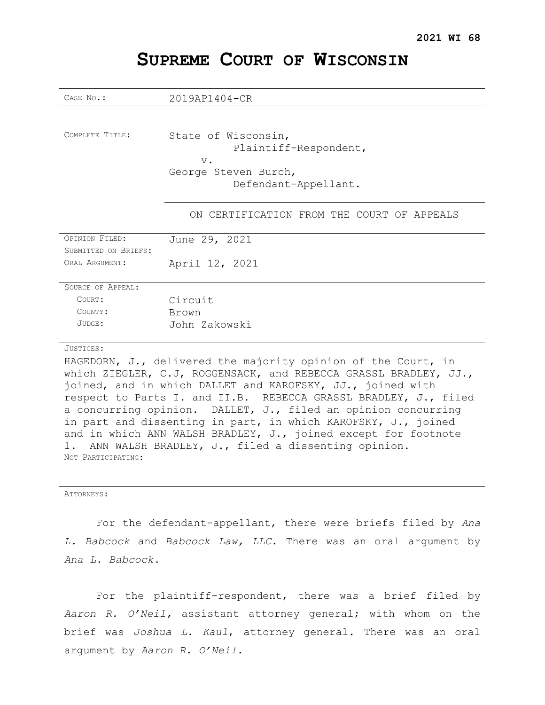| CASE No.:                | 2019AP1404-CR                                         |
|--------------------------|-------------------------------------------------------|
|                          |                                                       |
| COMPLETE TITLE:          | State of Wisconsin,<br>Plaintiff-Respondent,<br>$V$ . |
|                          | George Steven Burch,                                  |
|                          | Defendant-Appellant.                                  |
|                          |                                                       |
|                          | ON CERTIFICATION FROM THE COURT OF APPEALS            |
| <b>OPINION FILED:</b>    | June 29, 2021                                         |
| SUBMITTED ON BRIEFS:     |                                                       |
| ORAT, ARGUMENT:          | April 12, 2021                                        |
|                          |                                                       |
| <b>SOURCE OF APPEAL:</b> |                                                       |
| COURT:                   | Circuit                                               |
| COUNTY:                  | Brown                                                 |
| JUDGE:                   | John Zakowski                                         |
|                          |                                                       |
| JUSTICES:                |                                                       |

# **SUPREME COURT OF WISCONSIN**

HAGEDORN, J., delivered the majority opinion of the Court, in which ZIEGLER, C.J, ROGGENSACK, and REBECCA GRASSL BRADLEY, JJ., joined, and in which DALLET and KAROFSKY, JJ., joined with respect to Parts I. and II.B. REBECCA GRASSL BRADLEY, J., filed a concurring opinion. DALLET, J., filed an opinion concurring in part and dissenting in part, in which KAROFSKY, J., joined and in which ANN WALSH BRADLEY, J., joined except for footnote 1. ANN WALSH BRADLEY, J., filed a dissenting opinion. NOT PARTICIPATING:

ATTORNEYS:

For the defendant-appellant, there were briefs filed by *Ana L. Babcock* and *Babcock Law, LLC*. There was an oral argument by *Ana L. Babcock*.

For the plaintiff-respondent, there was a brief filed by *Aaron R. O'Neil,* assistant attorney general; with whom on the brief was *Joshua L. Kaul*, attorney general. There was an oral argument by *Aaron R. O'Neil*.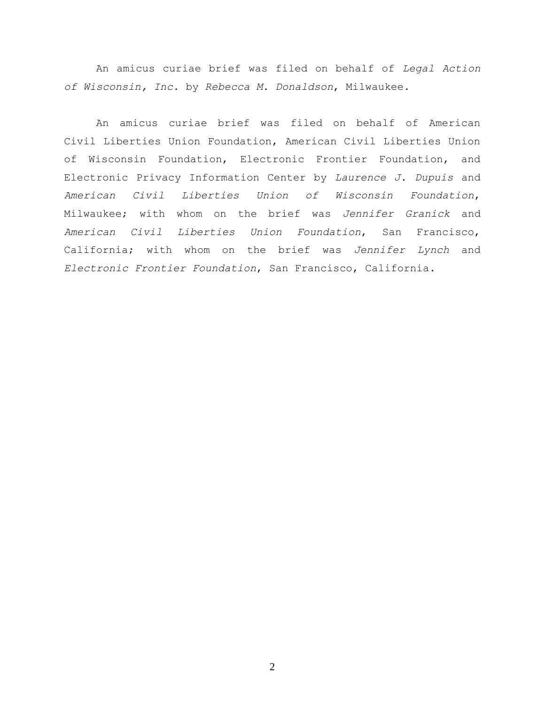An amicus curiae brief was filed on behalf of *Legal Action of Wisconsin, Inc.* by *Rebecca M. Donaldson*, Milwaukee.

An amicus curiae brief was filed on behalf of American Civil Liberties Union Foundation, American Civil Liberties Union of Wisconsin Foundation, Electronic Frontier Foundation, and Electronic Privacy Information Center by *Laurence J. Dupuis* and *American Civil Liberties Union of Wisconsin Foundation*, Milwaukee; with whom on the brief was *Jennifer Granick* and *American Civil Liberties Union Foundation*, San Francisco, California; with whom on the brief was *Jennifer Lynch* and *Electronic Frontier Foundation*, San Francisco, California.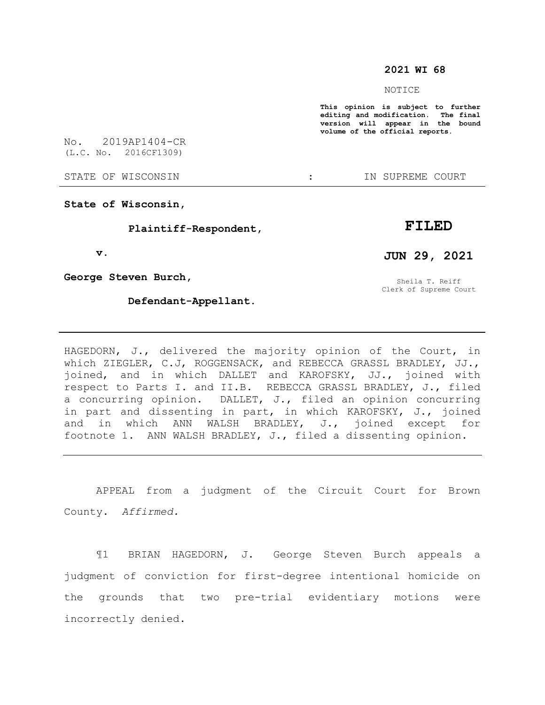#### **2021 WI 68**

NOTICE

**This opinion is subject to further editing and modification. The final version will appear in the bound volume of the official reports.** 

No. 2019AP1404-CR (L.C. No. 2016CF1309)

STATE OF WISCONSIN  $\cdot$  in Supreme court

**State of Wisconsin,**

 **Plaintiff-Respondent,**

 **v.**

**George Steven Burch,**

 **Defendant-Appellant.**

**FILED**

**JUN 29, 2021**

Sheila T. Reiff Clerk of Supreme Court

HAGEDORN, J., delivered the majority opinion of the Court, in which ZIEGLER, C.J, ROGGENSACK, and REBECCA GRASSL BRADLEY, JJ., joined, and in which DALLET and KAROFSKY, JJ., joined with respect to Parts I. and II.B. REBECCA GRASSL BRADLEY, J., filed a concurring opinion. DALLET, J., filed an opinion concurring in part and dissenting in part, in which KAROFSKY, J., joined and in which ANN WALSH BRADLEY, J., joined except for footnote 1. ANN WALSH BRADLEY, J., filed a dissenting opinion.

APPEAL from a judgment of the Circuit Court for Brown County. *Affirmed.*

¶1 BRIAN HAGEDORN, J. George Steven Burch appeals a judgment of conviction for first-degree intentional homicide on the grounds that two pre-trial evidentiary motions were incorrectly denied.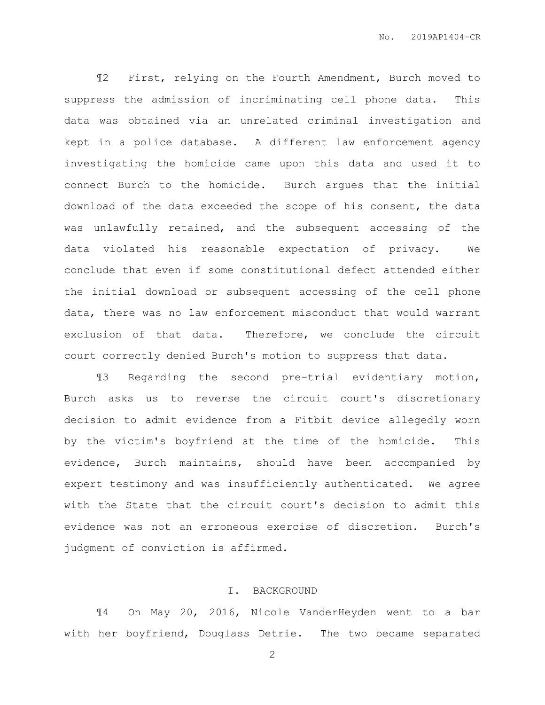¶2 First, relying on the Fourth Amendment, Burch moved to suppress the admission of incriminating cell phone data. This data was obtained via an unrelated criminal investigation and kept in a police database. A different law enforcement agency investigating the homicide came upon this data and used it to connect Burch to the homicide. Burch argues that the initial download of the data exceeded the scope of his consent, the data was unlawfully retained, and the subsequent accessing of the data violated his reasonable expectation of privacy. We conclude that even if some constitutional defect attended either the initial download or subsequent accessing of the cell phone data, there was no law enforcement misconduct that would warrant exclusion of that data. Therefore, we conclude the circuit court correctly denied Burch's motion to suppress that data.

¶3 Regarding the second pre-trial evidentiary motion, Burch asks us to reverse the circuit court's discretionary decision to admit evidence from a Fitbit device allegedly worn by the victim's boyfriend at the time of the homicide. This evidence, Burch maintains, should have been accompanied by expert testimony and was insufficiently authenticated. We agree with the State that the circuit court's decision to admit this evidence was not an erroneous exercise of discretion. Burch's judgment of conviction is affirmed.

#### I. BACKGROUND

¶4 On May 20, 2016, Nicole VanderHeyden went to a bar with her boyfriend, Douglass Detrie. The two became separated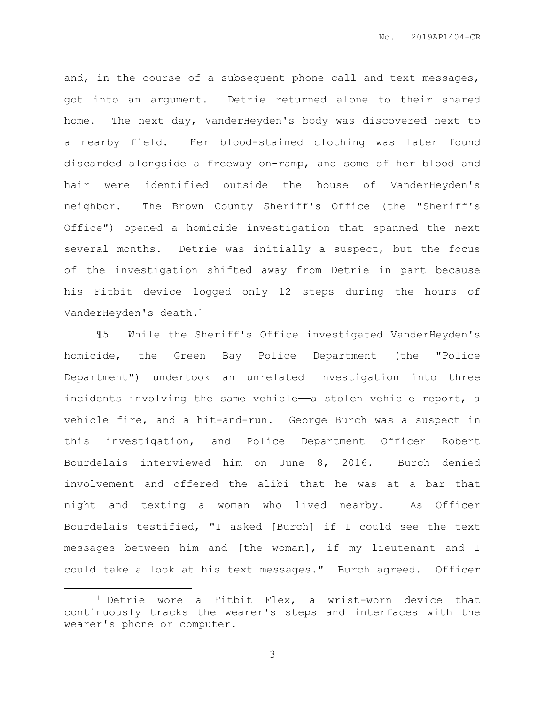and, in the course of a subsequent phone call and text messages, got into an argument. Detrie returned alone to their shared home. The next day, VanderHeyden's body was discovered next to a nearby field. Her blood-stained clothing was later found discarded alongside a freeway on-ramp, and some of her blood and hair were identified outside the house of VanderHeyden's neighbor. The Brown County Sheriff's Office (the "Sheriff's Office") opened a homicide investigation that spanned the next several months. Detrie was initially a suspect, but the focus of the investigation shifted away from Detrie in part because his Fitbit device logged only 12 steps during the hours of VanderHeyden's death.<sup>1</sup>

¶5 While the Sheriff's Office investigated VanderHeyden's homicide, the Green Bay Police Department (the "Police Department") undertook an unrelated investigation into three incidents involving the same vehicle—a stolen vehicle report, a vehicle fire, and a hit-and-run. George Burch was a suspect in this investigation, and Police Department Officer Robert Bourdelais interviewed him on June 8, 2016. Burch denied involvement and offered the alibi that he was at a bar that night and texting a woman who lived nearby. As Officer Bourdelais testified, "I asked [Burch] if I could see the text messages between him and [the woman], if my lieutenant and I could take a look at his text messages." Burch agreed. Officer

 $\overline{a}$ 

<sup>1</sup> Detrie wore a Fitbit Flex, a wrist-worn device that continuously tracks the wearer's steps and interfaces with the wearer's phone or computer.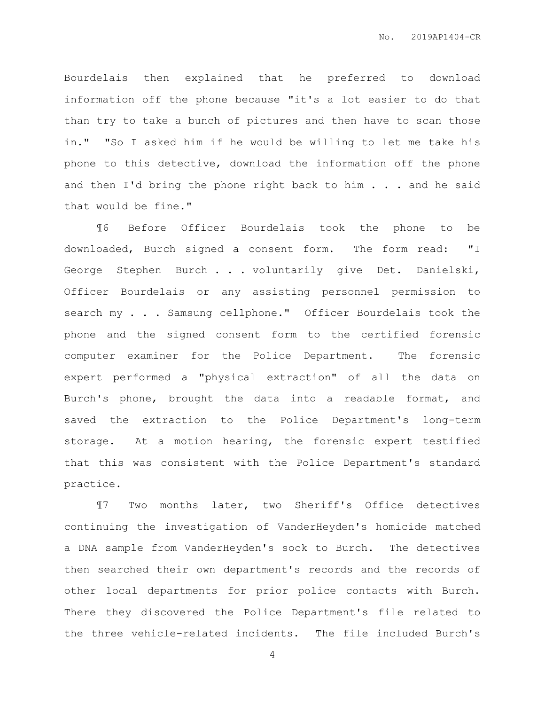Bourdelais then explained that he preferred to download information off the phone because "it's a lot easier to do that than try to take a bunch of pictures and then have to scan those in." "So I asked him if he would be willing to let me take his phone to this detective, download the information off the phone and then I'd bring the phone right back to him . . . and he said that would be fine."

¶6 Before Officer Bourdelais took the phone to be downloaded, Burch signed a consent form. The form read: "I George Stephen Burch . . . voluntarily give Det. Danielski, Officer Bourdelais or any assisting personnel permission to search my . . . Samsung cellphone." Officer Bourdelais took the phone and the signed consent form to the certified forensic computer examiner for the Police Department. The forensic expert performed a "physical extraction" of all the data on Burch's phone, brought the data into a readable format, and saved the extraction to the Police Department's long-term storage. At a motion hearing, the forensic expert testified that this was consistent with the Police Department's standard practice.

¶7 Two months later, two Sheriff's Office detectives continuing the investigation of VanderHeyden's homicide matched a DNA sample from VanderHeyden's sock to Burch. The detectives then searched their own department's records and the records of other local departments for prior police contacts with Burch. There they discovered the Police Department's file related to the three vehicle-related incidents. The file included Burch's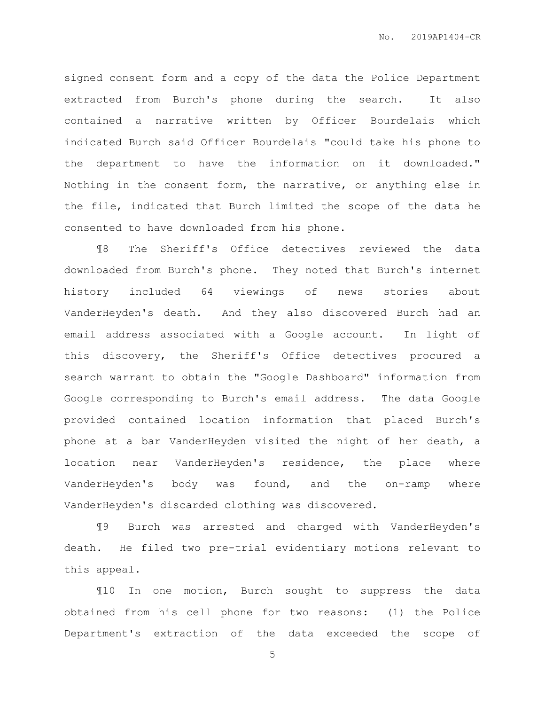signed consent form and a copy of the data the Police Department extracted from Burch's phone during the search. It also contained a narrative written by Officer Bourdelais which indicated Burch said Officer Bourdelais "could take his phone to the department to have the information on it downloaded." Nothing in the consent form, the narrative, or anything else in the file, indicated that Burch limited the scope of the data he consented to have downloaded from his phone.

¶8 The Sheriff's Office detectives reviewed the data downloaded from Burch's phone. They noted that Burch's internet history included 64 viewings of news stories about VanderHeyden's death. And they also discovered Burch had an email address associated with a Google account. In light of this discovery, the Sheriff's Office detectives procured a search warrant to obtain the "Google Dashboard" information from Google corresponding to Burch's email address. The data Google provided contained location information that placed Burch's phone at a bar VanderHeyden visited the night of her death, a location near VanderHeyden's residence, the place where VanderHeyden's body was found, and the on-ramp where VanderHeyden's discarded clothing was discovered.

¶9 Burch was arrested and charged with VanderHeyden's death. He filed two pre-trial evidentiary motions relevant to this appeal.

¶10 In one motion, Burch sought to suppress the data obtained from his cell phone for two reasons: (1) the Police Department's extraction of the data exceeded the scope of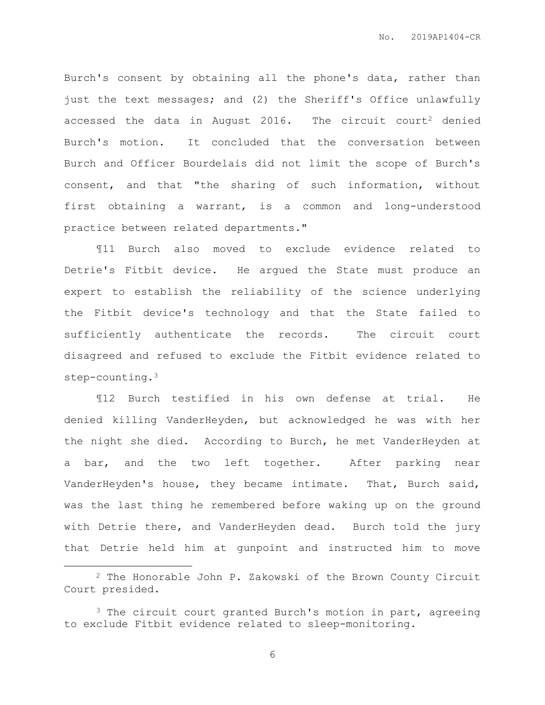Burch's consent by obtaining all the phone's data, rather than just the text messages; and (2) the Sheriff's Office unlawfully accessed the data in August 2016. The circuit court<sup>2</sup> denied Burch's motion. It concluded that the conversation between Burch and Officer Bourdelais did not limit the scope of Burch's consent, and that "the sharing of such information, without first obtaining a warrant, is a common and long-understood practice between related departments."

¶11 Burch also moved to exclude evidence related to Detrie's Fitbit device. He argued the State must produce an expert to establish the reliability of the science underlying the Fitbit device's technology and that the State failed to sufficiently authenticate the records. The circuit court disagreed and refused to exclude the Fitbit evidence related to step-counting.<sup>3</sup>

¶12 Burch testified in his own defense at trial. He denied killing VanderHeyden, but acknowledged he was with her the night she died. According to Burch, he met VanderHeyden at a bar, and the two left together. After parking near VanderHeyden's house, they became intimate. That, Burch said, was the last thing he remembered before waking up on the ground with Detrie there, and VanderHeyden dead. Burch told the jury that Detrie held him at gunpoint and instructed him to move

 $\overline{a}$ 

<sup>2</sup> The Honorable John P. Zakowski of the Brown County Circuit Court presided.

<sup>&</sup>lt;sup>3</sup> The circuit court granted Burch's motion in part, agreeing to exclude Fitbit evidence related to sleep-monitoring.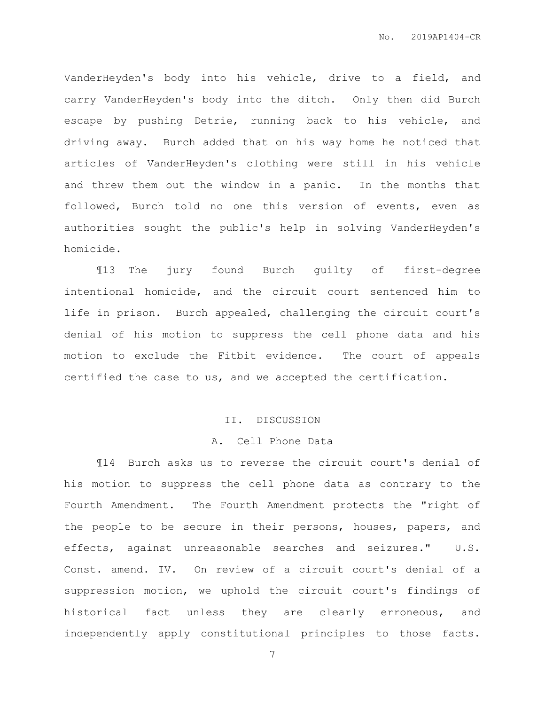VanderHeyden's body into his vehicle, drive to a field, and carry VanderHeyden's body into the ditch. Only then did Burch escape by pushing Detrie, running back to his vehicle, and driving away. Burch added that on his way home he noticed that articles of VanderHeyden's clothing were still in his vehicle and threw them out the window in a panic. In the months that followed, Burch told no one this version of events, even as authorities sought the public's help in solving VanderHeyden's homicide.

¶13 The jury found Burch guilty of first-degree intentional homicide, and the circuit court sentenced him to life in prison. Burch appealed, challenging the circuit court's denial of his motion to suppress the cell phone data and his motion to exclude the Fitbit evidence. The court of appeals certified the case to us, and we accepted the certification.

#### II. DISCUSSION

#### A. Cell Phone Data

¶14 Burch asks us to reverse the circuit court's denial of his motion to suppress the cell phone data as contrary to the Fourth Amendment. The Fourth Amendment protects the "right of the people to be secure in their persons, houses, papers, and effects, against unreasonable searches and seizures." U.S. Const. amend. IV. On review of a circuit court's denial of a suppression motion, we uphold the circuit court's findings of historical fact unless they are clearly erroneous, and independently apply constitutional principles to those facts.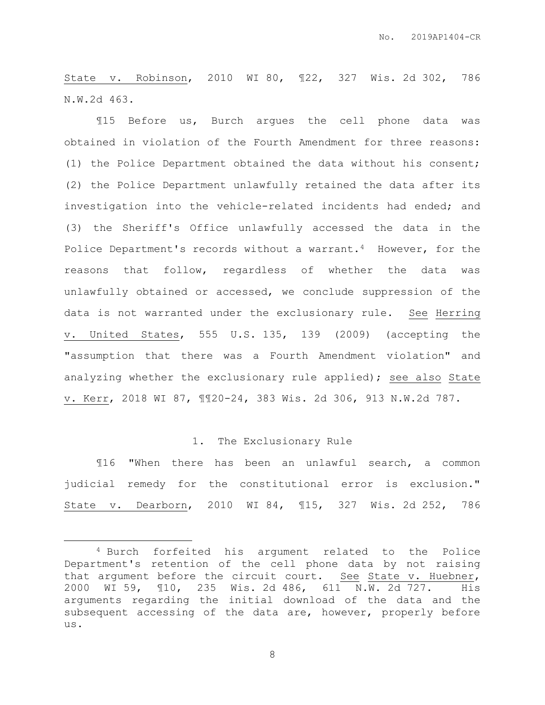State v. Robinson, 2010 WI 80, ¶22, 327 Wis. 2d 302, 786 N.W.2d 463.

¶15 Before us, Burch argues the cell phone data was obtained in violation of the Fourth Amendment for three reasons: (1) the Police Department obtained the data without his consent; (2) the Police Department unlawfully retained the data after its investigation into the vehicle-related incidents had ended; and (3) the Sheriff's Office unlawfully accessed the data in the Police Department's records without a warrant.<sup>4</sup> However, for the reasons that follow, regardless of whether the data was unlawfully obtained or accessed, we conclude suppression of the data is not warranted under the exclusionary rule. See Herring v. United States, 555 U.S. 135, 139 (2009) (accepting the "assumption that there was a Fourth Amendment violation" and analyzing whether the exclusionary rule applied); see also State v. Kerr, 2018 WI 87, ¶¶20-24, 383 Wis. 2d 306, 913 N.W.2d 787.

#### 1. The Exclusionary Rule

¶16 "When there has been an unlawful search, a common judicial remedy for the constitutional error is exclusion." State v. Dearborn, 2010 WI 84, ¶15, 327 Wis. 2d 252, 786

 $\overline{a}$ 

<sup>4</sup> Burch forfeited his argument related to the Police Department's retention of the cell phone data by not raising that argument before the circuit court. See State v. Huebner, 2000 WI 59, ¶10, 235 Wis. 2d 486, 611 N.W. 2d 727. His arguments regarding the initial download of the data and the subsequent accessing of the data are, however, properly before us.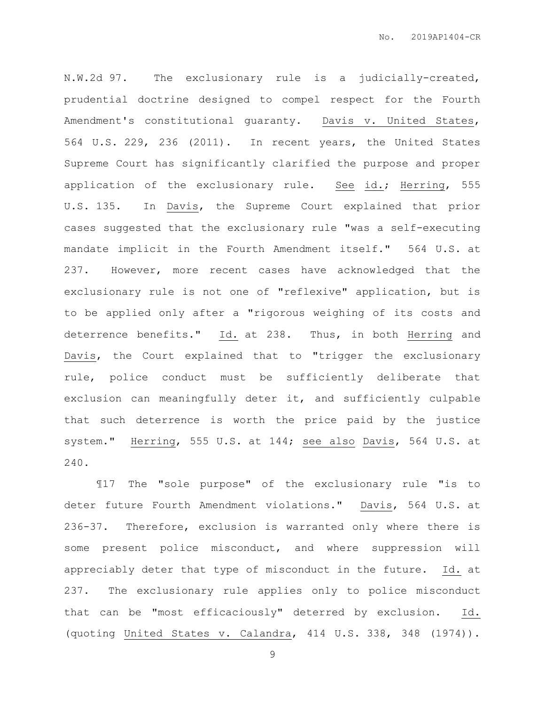N.W.2d 97. The exclusionary rule is a judicially-created, prudential doctrine designed to compel respect for the Fourth Amendment's constitutional guaranty. Davis v. United States, 564 U.S. 229, 236 (2011). In recent years, the United States Supreme Court has significantly clarified the purpose and proper application of the exclusionary rule. See id.; Herring, 555 U.S. 135. In Davis, the Supreme Court explained that prior cases suggested that the exclusionary rule "was a self-executing mandate implicit in the Fourth Amendment itself." 564 U.S. at 237. However, more recent cases have acknowledged that the exclusionary rule is not one of "reflexive" application, but is to be applied only after a "rigorous weighing of its costs and deterrence benefits." Id. at 238. Thus, in both Herring and Davis, the Court explained that to "trigger the exclusionary rule, police conduct must be sufficiently deliberate that exclusion can meaningfully deter it, and sufficiently culpable that such deterrence is worth the price paid by the justice system." Herring, 555 U.S. at 144; see also Davis, 564 U.S. at 240.

¶17 The "sole purpose" of the exclusionary rule "is to deter future Fourth Amendment violations." Davis, 564 U.S. at 236-37. Therefore, exclusion is warranted only where there is some present police misconduct, and where suppression will appreciably deter that type of misconduct in the future. Id. at 237. The exclusionary rule applies only to police misconduct that can be "most efficaciously" deterred by exclusion. Id. (quoting United States v. Calandra, 414 U.S. 338, 348 (1974)).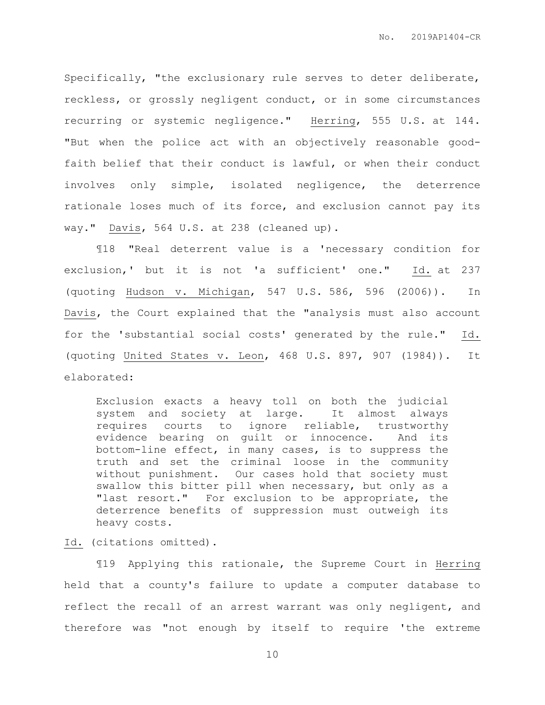Specifically, "the exclusionary rule serves to deter deliberate, reckless, or grossly negligent conduct, or in some circumstances recurring or systemic negligence." Herring, 555 U.S. at 144. "But when the police act with an objectively reasonable goodfaith belief that their conduct is lawful, or when their conduct involves only simple, isolated negligence, the deterrence rationale loses much of its force, and exclusion cannot pay its way." Davis, 564 U.S. at 238 (cleaned up).

¶18 "Real deterrent value is a 'necessary condition for exclusion,' but it is not 'a sufficient' one." Id. at 237 (quoting Hudson v. Michigan, 547 U.S. 586, 596 (2006)). In Davis, the Court explained that the "analysis must also account for the 'substantial social costs' generated by the rule." Id. (quoting United States v. Leon, 468 U.S. 897, 907 (1984)). It elaborated:

Exclusion exacts a heavy toll on both the judicial system and society at large. It almost always requires courts to ignore reliable, trustworthy evidence bearing on guilt or innocence. And its bottom-line effect, in many cases, is to suppress the truth and set the criminal loose in the community without punishment. Our cases hold that society must swallow this bitter pill when necessary, but only as a "last resort." For exclusion to be appropriate, the deterrence benefits of suppression must outweigh its heavy costs.

#### Id. (citations omitted).

¶19 Applying this rationale, the Supreme Court in Herring held that a county's failure to update a computer database to reflect the recall of an arrest warrant was only negligent, and therefore was "not enough by itself to require 'the extreme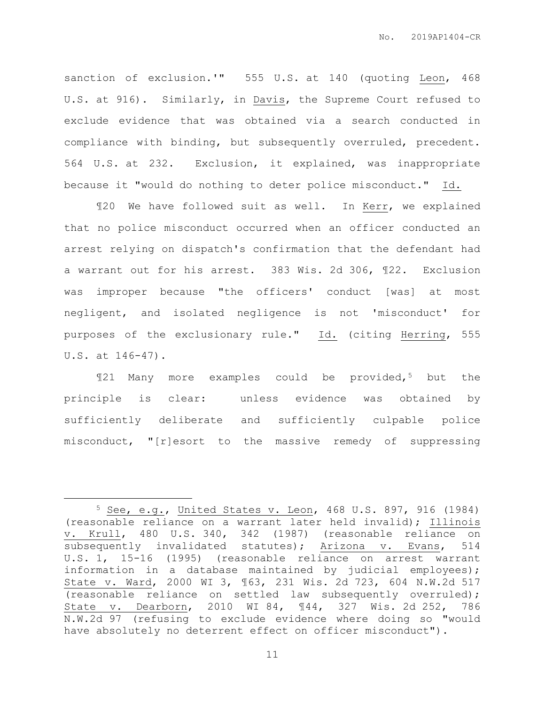sanction of exclusion.'" 555 U.S. at 140 (quoting Leon, 468 U.S. at 916). Similarly, in Davis, the Supreme Court refused to exclude evidence that was obtained via a search conducted in compliance with binding, but subsequently overruled, precedent. 564 U.S. at 232. Exclusion, it explained, was inappropriate because it "would do nothing to deter police misconduct." Id.

¶20 We have followed suit as well. In Kerr, we explained that no police misconduct occurred when an officer conducted an arrest relying on dispatch's confirmation that the defendant had a warrant out for his arrest. 383 Wis. 2d 306, ¶22. Exclusion was improper because "the officers' conduct [was] at most negligent, and isolated negligence is not 'misconduct' for purposes of the exclusionary rule." Id. (citing Herring, 555 U.S. at 146-47).

¶21 Many more examples could be provided,<sup>5</sup> but the principle is clear: unless evidence was obtained by sufficiently deliberate and sufficiently culpable police misconduct, "[r]esort to the massive remedy of suppressing

 $\overline{a}$ 

<sup>5</sup> See, e.g., United States v. Leon, 468 U.S. 897, 916 (1984) (reasonable reliance on a warrant later held invalid); Illinois v. Krull, 480 U.S. 340, 342 (1987) (reasonable reliance on subsequently invalidated statutes); Arizona v. Evans, 514 U.S. 1, 15-16 (1995) (reasonable reliance on arrest warrant information in a database maintained by judicial employees); State v. Ward, 2000 WI 3, ¶63, 231 Wis. 2d 723, 604 N.W.2d 517 (reasonable reliance on settled law subsequently overruled); State v. Dearborn, 2010 WI 84, ¶44, 327 Wis. 2d 252, 786 N.W.2d 97 (refusing to exclude evidence where doing so "would have absolutely no deterrent effect on officer misconduct").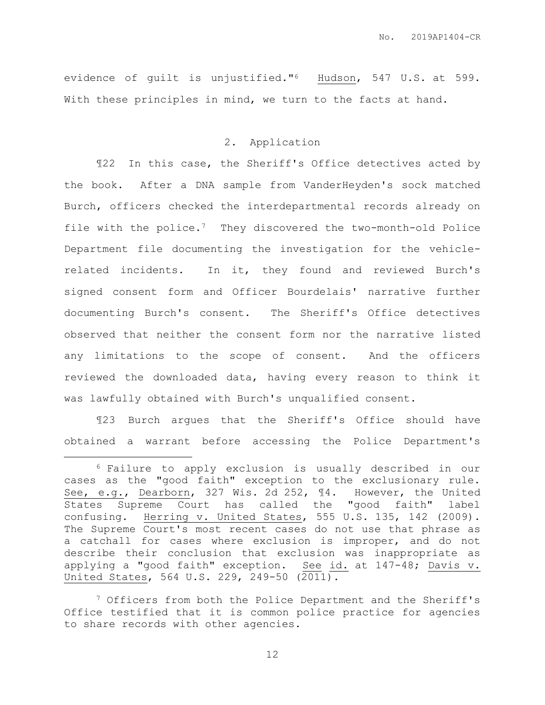evidence of guilt is unjustified."6 Hudson, 547 U.S. at 599. With these principles in mind, we turn to the facts at hand.

# 2. Application

¶22 In this case, the Sheriff's Office detectives acted by the book. After a DNA sample from VanderHeyden's sock matched Burch, officers checked the interdepartmental records already on file with the police.7 They discovered the two-month-old Police Department file documenting the investigation for the vehiclerelated incidents. In it, they found and reviewed Burch's signed consent form and Officer Bourdelais' narrative further documenting Burch's consent. The Sheriff's Office detectives observed that neither the consent form nor the narrative listed any limitations to the scope of consent. And the officers reviewed the downloaded data, having every reason to think it was lawfully obtained with Burch's unqualified consent.

¶23 Burch argues that the Sheriff's Office should have obtained a warrant before accessing the Police Department's

 $\overline{a}$ 

<sup>7</sup> Officers from both the Police Department and the Sheriff's Office testified that it is common police practice for agencies to share records with other agencies.

<sup>6</sup> Failure to apply exclusion is usually described in our cases as the "good faith" exception to the exclusionary rule. See, e.g., Dearborn, 327 Wis. 2d 252, ¶4. However, the United States Supreme Court has called the "good faith" label confusing. Herring v. United States, 555 U.S. 135, 142 (2009). The Supreme Court's most recent cases do not use that phrase as a catchall for cases where exclusion is improper, and do not describe their conclusion that exclusion was inappropriate as applying a "good faith" exception. See id. at 147-48; Davis v. United States, 564 U.S. 229, 249-50 (2011).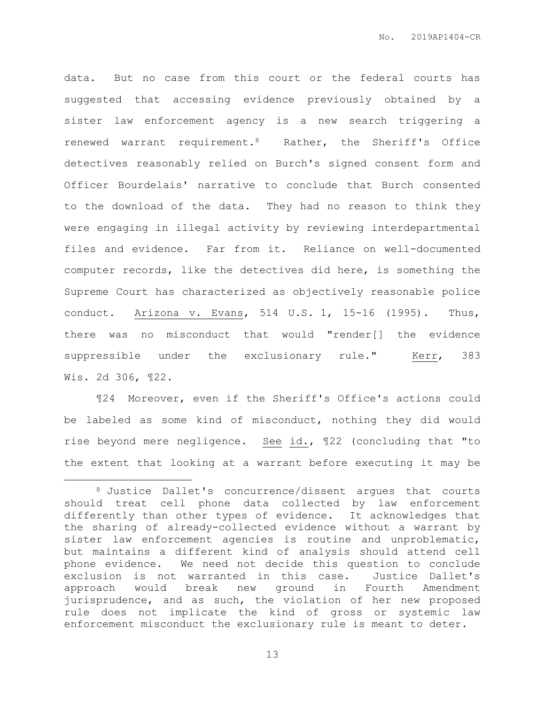data. But no case from this court or the federal courts has suggested that accessing evidence previously obtained by a sister law enforcement agency is a new search triggering a renewed warrant requirement.8 Rather, the Sheriff's Office detectives reasonably relied on Burch's signed consent form and Officer Bourdelais' narrative to conclude that Burch consented to the download of the data. They had no reason to think they were engaging in illegal activity by reviewing interdepartmental files and evidence. Far from it. Reliance on well-documented computer records, like the detectives did here, is something the Supreme Court has characterized as objectively reasonable police conduct. Arizona v. Evans, 514 U.S. 1, 15-16 (1995). Thus, there was no misconduct that would "render[] the evidence suppressible under the exclusionary rule." Kerr, 383 Wis. 2d 306, ¶22.

¶24 Moreover, even if the Sheriff's Office's actions could be labeled as some kind of misconduct, nothing they did would rise beyond mere negligence. See id., ¶22 (concluding that "to the extent that looking at a warrant before executing it may be

 $\overline{a}$ 

<sup>8</sup> Justice Dallet's concurrence/dissent argues that courts should treat cell phone data collected by law enforcement differently than other types of evidence. It acknowledges that the sharing of already-collected evidence without a warrant by sister law enforcement agencies is routine and unproblematic, but maintains a different kind of analysis should attend cell phone evidence. We need not decide this question to conclude exclusion is not warranted in this case. Justice Dallet's approach would break new ground in Fourth Amendment jurisprudence, and as such, the violation of her new proposed rule does not implicate the kind of gross or systemic law enforcement misconduct the exclusionary rule is meant to deter.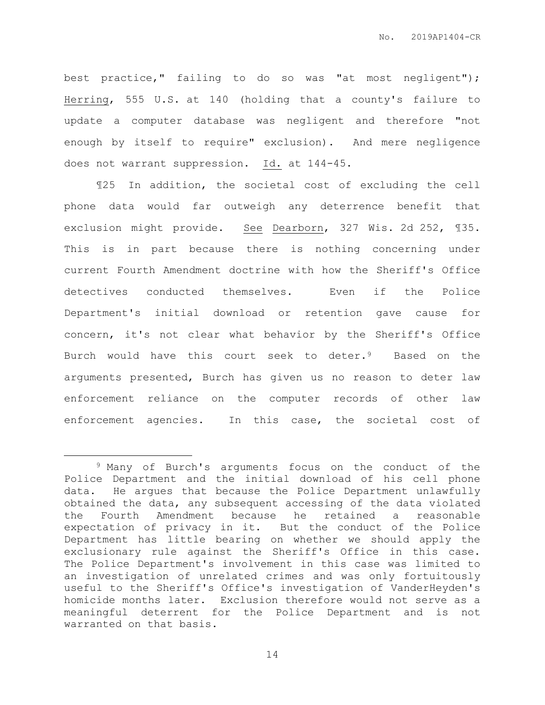best practice," failing to do so was "at most negligent"); Herring, 555 U.S. at 140 (holding that a county's failure to update a computer database was negligent and therefore "not enough by itself to require" exclusion). And mere negligence does not warrant suppression. Id. at 144-45.

¶25 In addition, the societal cost of excluding the cell phone data would far outweigh any deterrence benefit that exclusion might provide. See Dearborn, 327 Wis. 2d 252, ¶35. This is in part because there is nothing concerning under current Fourth Amendment doctrine with how the Sheriff's Office detectives conducted themselves. Even if the Police Department's initial download or retention gave cause for concern, it's not clear what behavior by the Sheriff's Office Burch would have this court seek to deter.9 Based on the arguments presented, Burch has given us no reason to deter law enforcement reliance on the computer records of other law enforcement agencies. In this case, the societal cost of

 $\overline{a}$ 

<sup>9</sup> Many of Burch's arguments focus on the conduct of the Police Department and the initial download of his cell phone data. He argues that because the Police Department unlawfully obtained the data, any subsequent accessing of the data violated the Fourth Amendment because he retained a reasonable expectation of privacy in it. But the conduct of the Police Department has little bearing on whether we should apply the exclusionary rule against the Sheriff's Office in this case. The Police Department's involvement in this case was limited to an investigation of unrelated crimes and was only fortuitously useful to the Sheriff's Office's investigation of VanderHeyden's homicide months later. Exclusion therefore would not serve as a meaningful deterrent for the Police Department and is not warranted on that basis.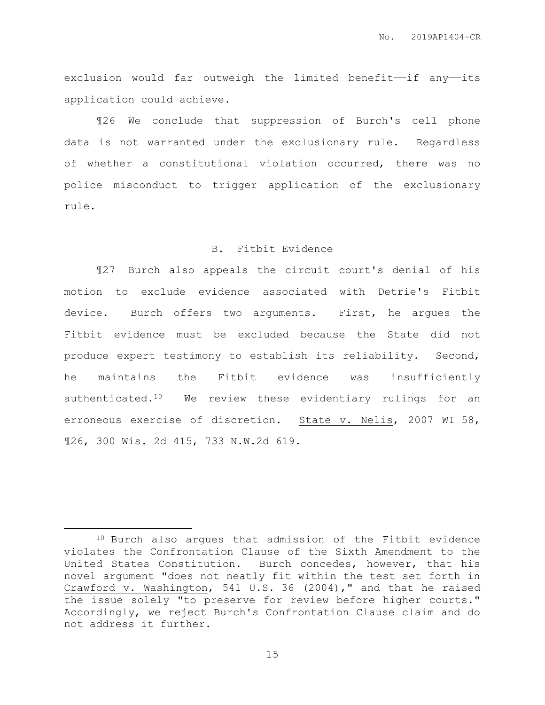exclusion would far outweigh the limited benefit-if any-its application could achieve.

¶26 We conclude that suppression of Burch's cell phone data is not warranted under the exclusionary rule. Regardless of whether a constitutional violation occurred, there was no police misconduct to trigger application of the exclusionary rule.

## B. Fitbit Evidence

¶27 Burch also appeals the circuit court's denial of his motion to exclude evidence associated with Detrie's Fitbit device. Burch offers two arguments. First, he argues the Fitbit evidence must be excluded because the State did not produce expert testimony to establish its reliability. Second, he maintains the Fitbit evidence was insufficiently authenticated.10 We review these evidentiary rulings for an erroneous exercise of discretion. State v. Nelis, 2007 WI 58, ¶26, 300 Wis. 2d 415, 733 N.W.2d 619.

<sup>10</sup> Burch also argues that admission of the Fitbit evidence violates the Confrontation Clause of the Sixth Amendment to the United States Constitution. Burch concedes, however, that his novel argument "does not neatly fit within the test set forth in Crawford v. Washington, 541 U.S. 36 (2004)," and that he raised the issue solely "to preserve for review before higher courts." Accordingly, we reject Burch's Confrontation Clause claim and do not address it further.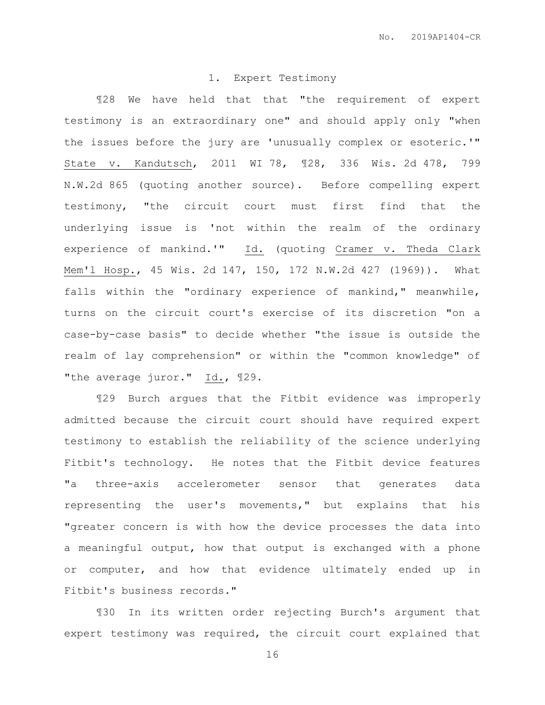## 1. Expert Testimony

¶28 We have held that that "the requirement of expert testimony is an extraordinary one" and should apply only "when the issues before the jury are 'unusually complex or esoteric.'" State v. Kandutsch, 2011 WI 78, ¶28, 336 Wis. 2d 478, 799 N.W.2d 865 (quoting another source). Before compelling expert testimony, "the circuit court must first find that the underlying issue is 'not within the realm of the ordinary experience of mankind.'" Id. (quoting Cramer v. Theda Clark Mem'l Hosp., 45 Wis. 2d 147, 150, 172 N.W.2d 427 (1969)). What falls within the "ordinary experience of mankind," meanwhile, turns on the circuit court's exercise of its discretion "on a case-by-case basis" to decide whether "the issue is outside the realm of lay comprehension" or within the "common knowledge" of "the average juror." Id., ¶29.

¶29 Burch argues that the Fitbit evidence was improperly admitted because the circuit court should have required expert testimony to establish the reliability of the science underlying Fitbit's technology. He notes that the Fitbit device features "a three-axis accelerometer sensor that generates data representing the user's movements," but explains that his "greater concern is with how the device processes the data into a meaningful output, how that output is exchanged with a phone or computer, and how that evidence ultimately ended up in Fitbit's business records."

¶30 In its written order rejecting Burch's argument that expert testimony was required, the circuit court explained that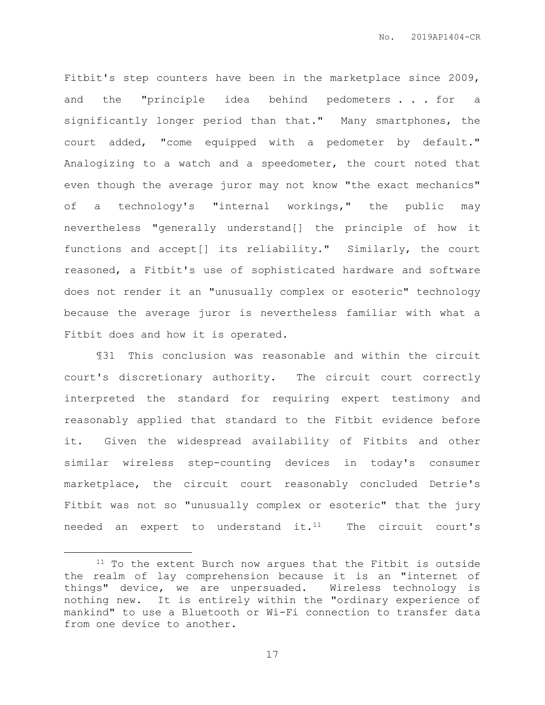Fitbit's step counters have been in the marketplace since 2009, and the "principle idea behind pedometers . . for a significantly longer period than that." Many smartphones, the court added, "come equipped with a pedometer by default." Analogizing to a watch and a speedometer, the court noted that even though the average juror may not know "the exact mechanics" of a technology's "internal workings," the public may nevertheless "generally understand[] the principle of how it functions and accept[] its reliability." Similarly, the court reasoned, a Fitbit's use of sophisticated hardware and software does not render it an "unusually complex or esoteric" technology because the average juror is nevertheless familiar with what a Fitbit does and how it is operated.

¶31 This conclusion was reasonable and within the circuit court's discretionary authority. The circuit court correctly interpreted the standard for requiring expert testimony and reasonably applied that standard to the Fitbit evidence before it. Given the widespread availability of Fitbits and other similar wireless step-counting devices in today's consumer marketplace, the circuit court reasonably concluded Detrie's Fitbit was not so "unusually complex or esoteric" that the jury needed an expert to understand it.<sup>11</sup> The circuit court's

 $\overline{a}$ 

 $11$  To the extent Burch now argues that the Fitbit is outside the realm of lay comprehension because it is an "internet of things" device, we are unpersuaded. Wireless technology is nothing new. It is entirely within the "ordinary experience of mankind" to use a Bluetooth or Wi-Fi connection to transfer data from one device to another.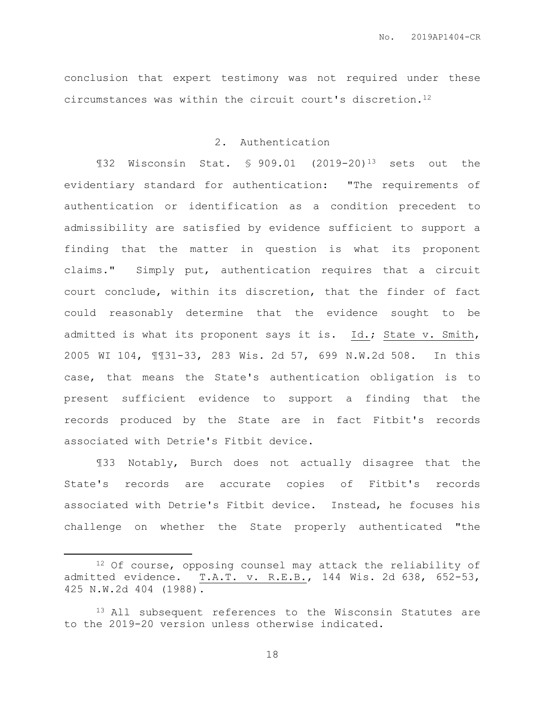conclusion that expert testimony was not required under these circumstances was within the circuit court's discretion.<sup>12</sup>

# 2. Authentication

¶32 Wisconsin Stat. § 909.01 (2019-20)<sup>13</sup> sets out the evidentiary standard for authentication: "The requirements of authentication or identification as a condition precedent to admissibility are satisfied by evidence sufficient to support a finding that the matter in question is what its proponent claims." Simply put, authentication requires that a circuit court conclude, within its discretion, that the finder of fact could reasonably determine that the evidence sought to be admitted is what its proponent says it is. Id.; State v. Smith, 2005 WI 104, ¶¶31-33, 283 Wis. 2d 57, 699 N.W.2d 508. In this case, that means the State's authentication obligation is to present sufficient evidence to support a finding that the records produced by the State are in fact Fitbit's records associated with Detrie's Fitbit device.

¶33 Notably, Burch does not actually disagree that the State's records are accurate copies of Fitbit's records associated with Detrie's Fitbit device. Instead, he focuses his challenge on whether the State properly authenticated "the

 $\overline{a}$ 

<sup>12</sup> Of course, opposing counsel may attack the reliability of admitted evidence. T.A.T. v. R.E.B., 144 Wis. 2d 638, 652-53, 425 N.W.2d 404 (1988).

<sup>&</sup>lt;sup>13</sup> All subsequent references to the Wisconsin Statutes are to the 2019-20 version unless otherwise indicated.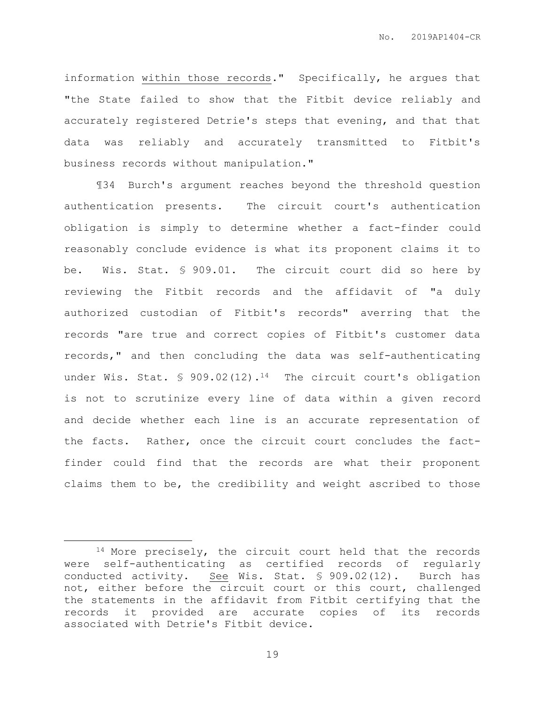information within those records." Specifically, he argues that "the State failed to show that the Fitbit device reliably and accurately registered Detrie's steps that evening, and that that data was reliably and accurately transmitted to Fitbit's business records without manipulation."

¶34 Burch's argument reaches beyond the threshold question authentication presents. The circuit court's authentication obligation is simply to determine whether a fact-finder could reasonably conclude evidence is what its proponent claims it to be. Wis. Stat. § 909.01. The circuit court did so here by reviewing the Fitbit records and the affidavit of "a duly authorized custodian of Fitbit's records" averring that the records "are true and correct copies of Fitbit's customer data records," and then concluding the data was self-authenticating under Wis. Stat. § 909.02(12).<sup>14</sup> The circuit court's obligation is not to scrutinize every line of data within a given record and decide whether each line is an accurate representation of the facts. Rather, once the circuit court concludes the factfinder could find that the records are what their proponent claims them to be, the credibility and weight ascribed to those

 $\overline{a}$ 

<sup>&</sup>lt;sup>14</sup> More precisely, the circuit court held that the records were self-authenticating as certified records of regularly conducted activity. See Wis. Stat. § 909.02(12). Burch has not, either before the circuit court or this court, challenged the statements in the affidavit from Fitbit certifying that the records it provided are accurate copies of its records associated with Detrie's Fitbit device.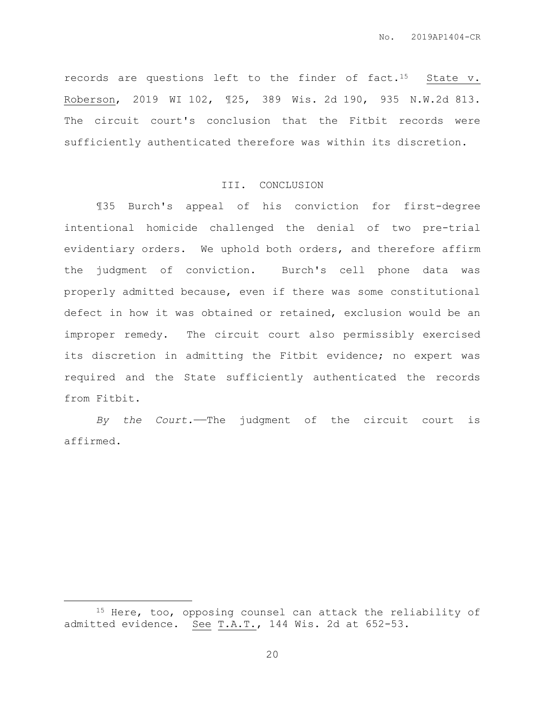records are questions left to the finder of fact.<sup>15</sup> State v. Roberson, 2019 WI 102, ¶25, 389 Wis. 2d 190, 935 N.W.2d 813. The circuit court's conclusion that the Fitbit records were sufficiently authenticated therefore was within its discretion.

#### III. CONCLUSION

¶35 Burch's appeal of his conviction for first-degree intentional homicide challenged the denial of two pre-trial evidentiary orders. We uphold both orders, and therefore affirm the judgment of conviction. Burch's cell phone data was properly admitted because, even if there was some constitutional defect in how it was obtained or retained, exclusion would be an improper remedy. The circuit court also permissibly exercised its discretion in admitting the Fitbit evidence; no expert was required and the State sufficiently authenticated the records from Fitbit.

*By the Court.*——The judgment of the circuit court is affirmed.

<sup>15</sup> Here, too, opposing counsel can attack the reliability of admitted evidence. See T.A.T., 144 Wis. 2d at 652-53.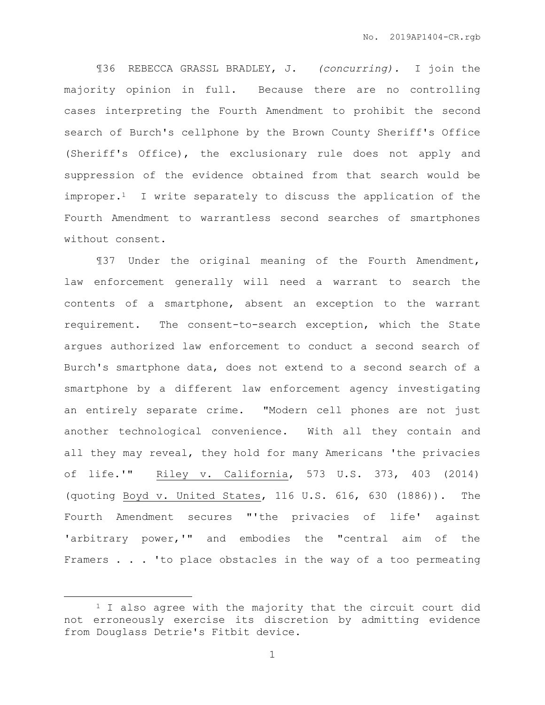¶36 REBECCA GRASSL BRADLEY, J. *(concurring).* I join the majority opinion in full. Because there are no controlling cases interpreting the Fourth Amendment to prohibit the second search of Burch's cellphone by the Brown County Sheriff's Office (Sheriff's Office), the exclusionary rule does not apply and suppression of the evidence obtained from that search would be improper.<sup>1</sup> I write separately to discuss the application of the Fourth Amendment to warrantless second searches of smartphones without consent.

¶37 Under the original meaning of the Fourth Amendment, law enforcement generally will need a warrant to search the contents of a smartphone, absent an exception to the warrant requirement. The consent-to-search exception, which the State argues authorized law enforcement to conduct a second search of Burch's smartphone data, does not extend to a second search of a smartphone by a different law enforcement agency investigating an entirely separate crime. "Modern cell phones are not just another technological convenience. With all they contain and all they may reveal, they hold for many Americans 'the privacies of life.'" Riley v. California, 573 U.S. 373, 403 (2014) (quoting Boyd v. United States, 116 U.S. 616, 630 (1886)). The Fourth Amendment secures "'the privacies of life' against 'arbitrary power,'" and embodies the "central aim of the Framers . . . 'to place obstacles in the way of a too permeating

<sup>&</sup>lt;sup>1</sup> I also agree with the majority that the circuit court did not erroneously exercise its discretion by admitting evidence from Douglass Detrie's Fitbit device.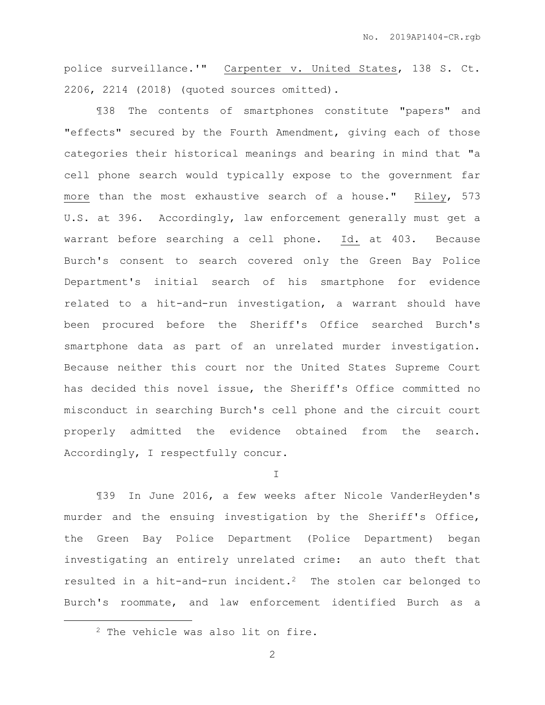police surveillance.'" Carpenter v. United States, 138 S. Ct. 2206, 2214 (2018) (quoted sources omitted).

¶38 The contents of smartphones constitute "papers" and "effects" secured by the Fourth Amendment, giving each of those categories their historical meanings and bearing in mind that "a cell phone search would typically expose to the government far more than the most exhaustive search of a house." Riley, 573 U.S. at 396. Accordingly, law enforcement generally must get a warrant before searching a cell phone. Id. at 403. Because Burch's consent to search covered only the Green Bay Police Department's initial search of his smartphone for evidence related to a hit-and-run investigation, a warrant should have been procured before the Sheriff's Office searched Burch's smartphone data as part of an unrelated murder investigation. Because neither this court nor the United States Supreme Court has decided this novel issue, the Sheriff's Office committed no misconduct in searching Burch's cell phone and the circuit court properly admitted the evidence obtained from the search. Accordingly, I respectfully concur.

I

¶39 In June 2016, a few weeks after Nicole VanderHeyden's murder and the ensuing investigation by the Sheriff's Office, the Green Bay Police Department (Police Department) began investigating an entirely unrelated crime: an auto theft that resulted in a hit-and-run incident.2 The stolen car belonged to Burch's roommate, and law enforcement identified Burch as a

<sup>2</sup> The vehicle was also lit on fire.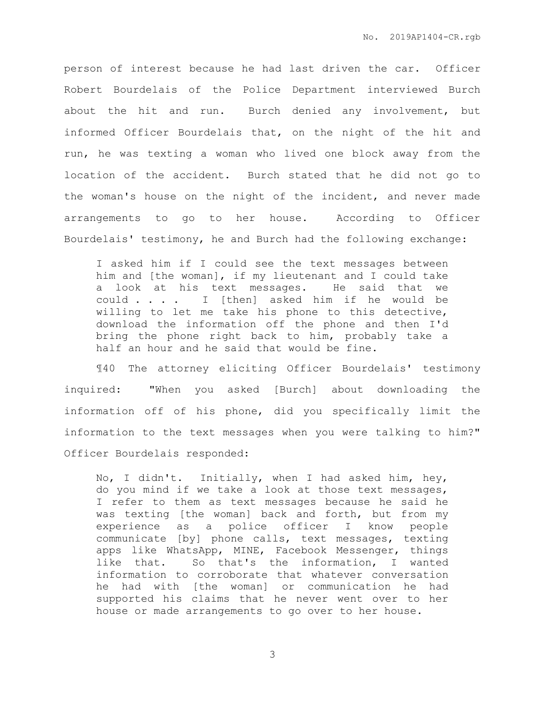person of interest because he had last driven the car. Officer Robert Bourdelais of the Police Department interviewed Burch about the hit and run. Burch denied any involvement, but informed Officer Bourdelais that, on the night of the hit and run, he was texting a woman who lived one block away from the location of the accident. Burch stated that he did not go to the woman's house on the night of the incident, and never made arrangements to go to her house. According to Officer Bourdelais' testimony, he and Burch had the following exchange:

I asked him if I could see the text messages between him and [the woman], if my lieutenant and I could take a look at his text messages. He said that we could . . . . I [then] asked him if he would be willing to let me take his phone to this detective, download the information off the phone and then I'd bring the phone right back to him, probably take a half an hour and he said that would be fine.

¶40 The attorney eliciting Officer Bourdelais' testimony inquired: "When you asked [Burch] about downloading the information off of his phone, did you specifically limit the information to the text messages when you were talking to him?" Officer Bourdelais responded:

No, I didn't. Initially, when I had asked him, hey, do you mind if we take a look at those text messages, I refer to them as text messages because he said he was texting [the woman] back and forth, but from my experience as a police officer I know people communicate [by] phone calls, text messages, texting apps like WhatsApp, MINE, Facebook Messenger, things like that. So that's the information, I wanted information to corroborate that whatever conversation he had with [the woman] or communication he had supported his claims that he never went over to her house or made arrangements to go over to her house.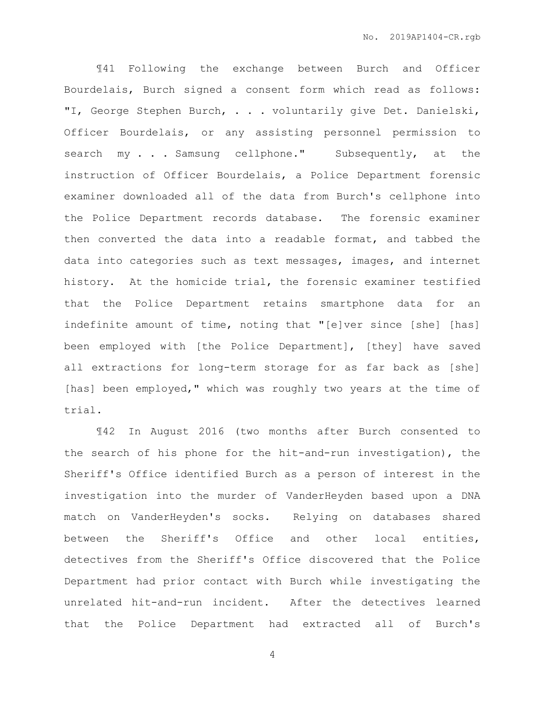¶41 Following the exchange between Burch and Officer Bourdelais, Burch signed a consent form which read as follows: "I, George Stephen Burch, . . . voluntarily give Det. Danielski, Officer Bourdelais, or any assisting personnel permission to search my . . . Samsung cellphone." Subsequently, at the instruction of Officer Bourdelais, a Police Department forensic examiner downloaded all of the data from Burch's cellphone into the Police Department records database. The forensic examiner then converted the data into a readable format, and tabbed the data into categories such as text messages, images, and internet history. At the homicide trial, the forensic examiner testified that the Police Department retains smartphone data for an indefinite amount of time, noting that "[e]ver since [she] [has] been employed with [the Police Department], [they] have saved all extractions for long-term storage for as far back as [she] [has] been employed," which was roughly two years at the time of trial.

¶42 In August 2016 (two months after Burch consented to the search of his phone for the hit-and-run investigation), the Sheriff's Office identified Burch as a person of interest in the investigation into the murder of VanderHeyden based upon a DNA match on VanderHeyden's socks. Relying on databases shared between the Sheriff's Office and other local entities, detectives from the Sheriff's Office discovered that the Police Department had prior contact with Burch while investigating the unrelated hit-and-run incident. After the detectives learned that the Police Department had extracted all of Burch's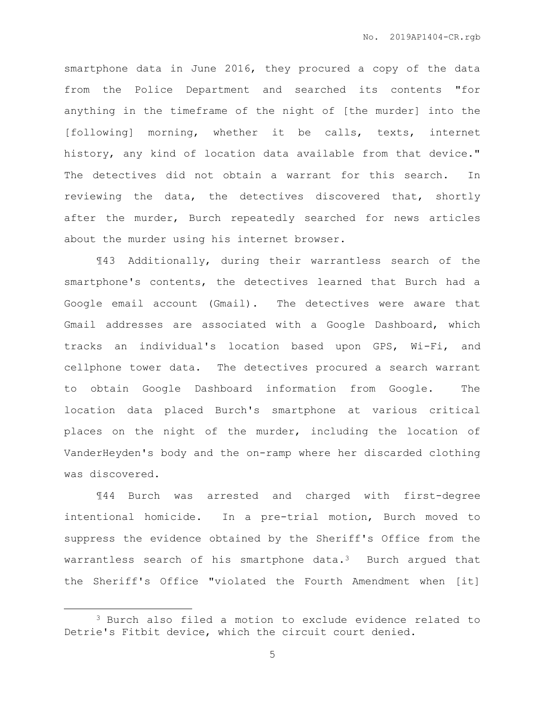smartphone data in June 2016, they procured a copy of the data from the Police Department and searched its contents "for anything in the timeframe of the night of [the murder] into the [following] morning, whether it be calls, texts, internet history, any kind of location data available from that device." The detectives did not obtain a warrant for this search. In reviewing the data, the detectives discovered that, shortly after the murder, Burch repeatedly searched for news articles about the murder using his internet browser.

¶43 Additionally, during their warrantless search of the smartphone's contents, the detectives learned that Burch had a Google email account (Gmail). The detectives were aware that Gmail addresses are associated with a Google Dashboard, which tracks an individual's location based upon GPS, Wi-Fi, and cellphone tower data. The detectives procured a search warrant to obtain Google Dashboard information from Google. The location data placed Burch's smartphone at various critical places on the night of the murder, including the location of VanderHeyden's body and the on-ramp where her discarded clothing was discovered.

¶44 Burch was arrested and charged with first-degree intentional homicide. In a pre-trial motion, Burch moved to suppress the evidence obtained by the Sheriff's Office from the warrantless search of his smartphone data. $3$  Burch argued that the Sheriff's Office "violated the Fourth Amendment when [it]

<sup>3</sup> Burch also filed a motion to exclude evidence related to Detrie's Fitbit device, which the circuit court denied.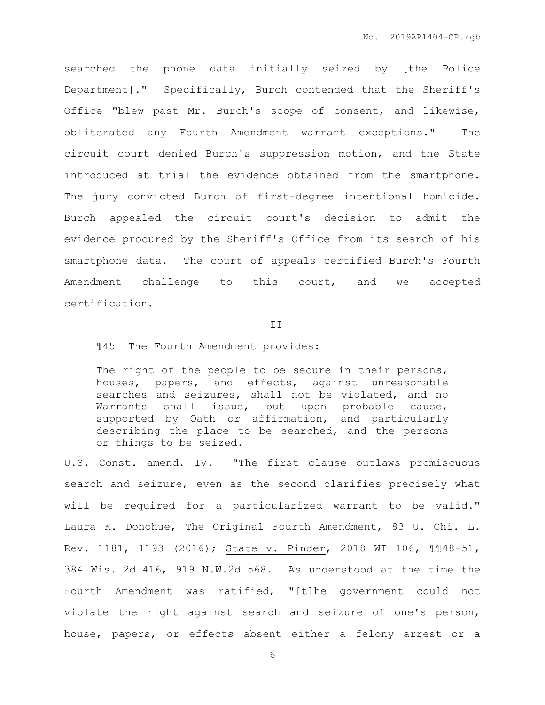searched the phone data initially seized by [the Police Department]." Specifically, Burch contended that the Sheriff's Office "blew past Mr. Burch's scope of consent, and likewise, obliterated any Fourth Amendment warrant exceptions." The circuit court denied Burch's suppression motion, and the State introduced at trial the evidence obtained from the smartphone. The jury convicted Burch of first-degree intentional homicide. Burch appealed the circuit court's decision to admit the evidence procured by the Sheriff's Office from its search of his smartphone data. The court of appeals certified Burch's Fourth Amendment challenge to this court, and we accepted certification.

#### II

¶45 The Fourth Amendment provides:

The right of the people to be secure in their persons, houses, papers, and effects, against unreasonable searches and seizures, shall not be violated, and no Warrants shall issue, but upon probable cause, supported by Oath or affirmation, and particularly describing the place to be searched, and the persons or things to be seized.

U.S. Const. amend. IV. "The first clause outlaws promiscuous search and seizure, even as the second clarifies precisely what will be required for a particularized warrant to be valid." Laura K. Donohue, The Original Fourth Amendment, 83 U. Chi. L. Rev. 1181, 1193 (2016); State v. Pinder, 2018 WI 106, ¶¶48-51, 384 Wis. 2d 416, 919 N.W.2d 568. As understood at the time the Fourth Amendment was ratified, "[t]he government could not violate the right against search and seizure of one's person, house, papers, or effects absent either a felony arrest or a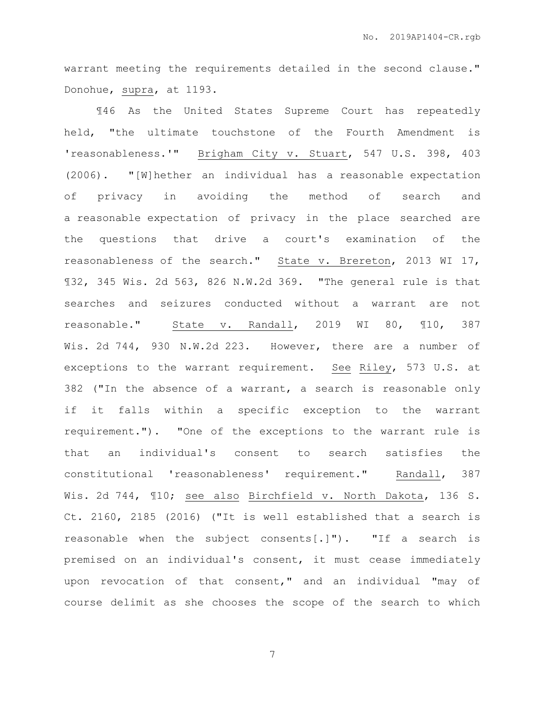warrant meeting the requirements detailed in the second clause." Donohue, supra, at 1193.

¶46 As the United States Supreme Court has repeatedly held, "the ultimate touchstone of the Fourth Amendment is 'reasonableness.'" Brigham City v. Stuart, 547 U.S. 398, 403 (2006). "[W]hether an individual has a reasonable expectation of privacy in avoiding the method of search and a reasonable expectation of privacy in the place searched are the questions that drive a court's examination of the reasonableness of the search." State v. Brereton, 2013 WI 17, ¶32, 345 Wis. 2d 563, 826 N.W.2d 369. "The general rule is that searches and seizures conducted without a warrant are not reasonable." State v. Randall, 2019 WI 80, ¶10, 387 Wis. 2d 744, 930 N.W.2d 223. However, there are a number of exceptions to the warrant requirement. See Riley, 573 U.S. at 382 ("In the absence of a warrant, a search is reasonable only if it falls within a specific exception to the warrant requirement."). "One of the exceptions to the warrant rule is that an individual's consent to search satisfies the constitutional 'reasonableness' requirement." Randall, 387 Wis. 2d 744, ¶10; see also Birchfield v. North Dakota, 136 S. Ct. 2160, 2185 (2016) ("It is well established that a search is reasonable when the subject consents[.]"). "If a search is premised on an individual's consent, it must cease immediately upon revocation of that consent," and an individual "may of course delimit as she chooses the scope of the search to which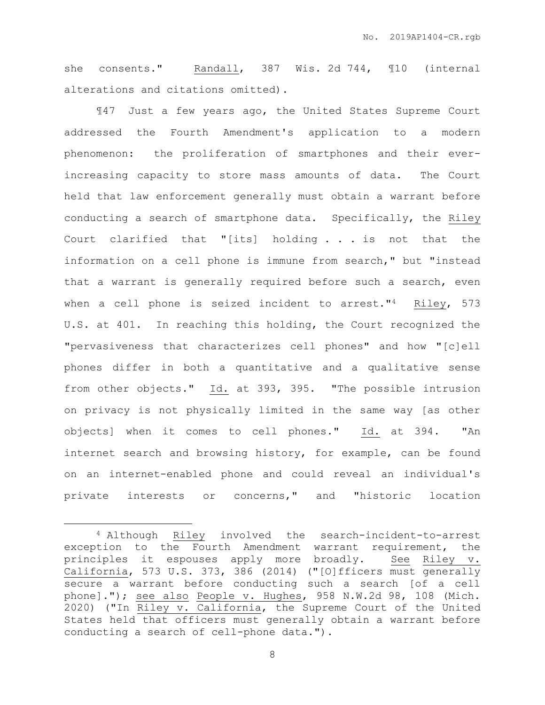she consents." Randall, 387 Wis. 2d 744, ¶10 (internal alterations and citations omitted).

¶47 Just a few years ago, the United States Supreme Court addressed the Fourth Amendment's application to a modern phenomenon: the proliferation of smartphones and their everincreasing capacity to store mass amounts of data. The Court held that law enforcement generally must obtain a warrant before conducting a search of smartphone data. Specifically, the Riley Court clarified that "[its] holding . . . is not that the information on a cell phone is immune from search," but "instead that a warrant is generally required before such a search, even when a cell phone is seized incident to arrest."<sup>4</sup> Riley, 573 U.S. at 401. In reaching this holding, the Court recognized the "pervasiveness that characterizes cell phones" and how "[c]ell phones differ in both a quantitative and a qualitative sense from other objects." Id. at 393, 395. "The possible intrusion on privacy is not physically limited in the same way [as other objects] when it comes to cell phones." Id. at 394. "An internet search and browsing history, for example, can be found on an internet-enabled phone and could reveal an individual's private interests or concerns," and "historic location

<sup>4</sup> Although Riley involved the search-incident-to-arrest exception to the Fourth Amendment warrant requirement, the principles it espouses apply more broadly. See Riley v. California, 573 U.S. 373, 386 (2014) ("[O]fficers must generally secure a warrant before conducting such a search [of a cell phone]."); see also People v. Hughes, 958 N.W.2d 98, 108 (Mich. 2020) ("In Riley v. California, the Supreme Court of the United States held that officers must generally obtain a warrant before conducting a search of cell-phone data.").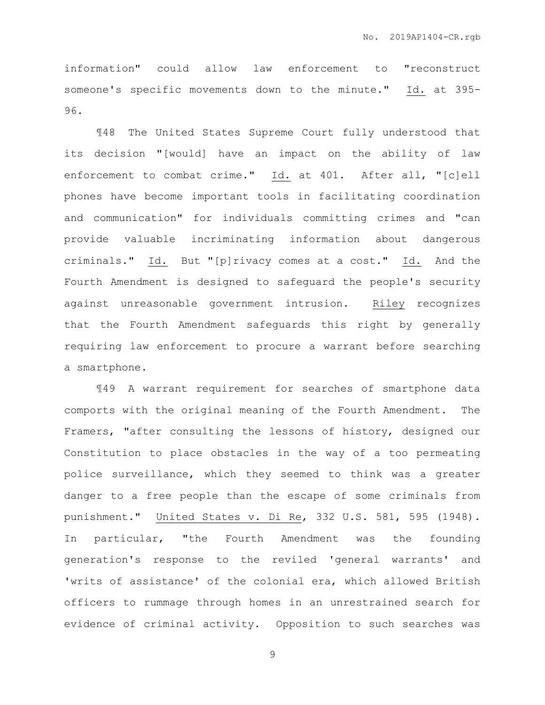information" could allow law enforcement to "reconstruct someone's specific movements down to the minute." Id. at 395- 96.

¶48 The United States Supreme Court fully understood that its decision "[would] have an impact on the ability of law enforcement to combat crime." Id. at 401. After all, "[c]ell phones have become important tools in facilitating coordination and communication" for individuals committing crimes and "can provide valuable incriminating information about dangerous criminals." Id. But "[p]rivacy comes at a cost." Id. And the Fourth Amendment is designed to safeguard the people's security against unreasonable government intrusion. Riley recognizes that the Fourth Amendment safeguards this right by generally requiring law enforcement to procure a warrant before searching a smartphone.

¶49 A warrant requirement for searches of smartphone data comports with the original meaning of the Fourth Amendment. The Framers, "after consulting the lessons of history, designed our Constitution to place obstacles in the way of a too permeating police surveillance, which they seemed to think was a greater danger to a free people than the escape of some criminals from punishment." United States v. Di Re, 332 U.S. 581, 595 (1948). In particular, "the Fourth Amendment was the founding generation's response to the reviled 'general warrants' and 'writs of assistance' of the colonial era, which allowed British officers to rummage through homes in an unrestrained search for evidence of criminal activity. Opposition to such searches was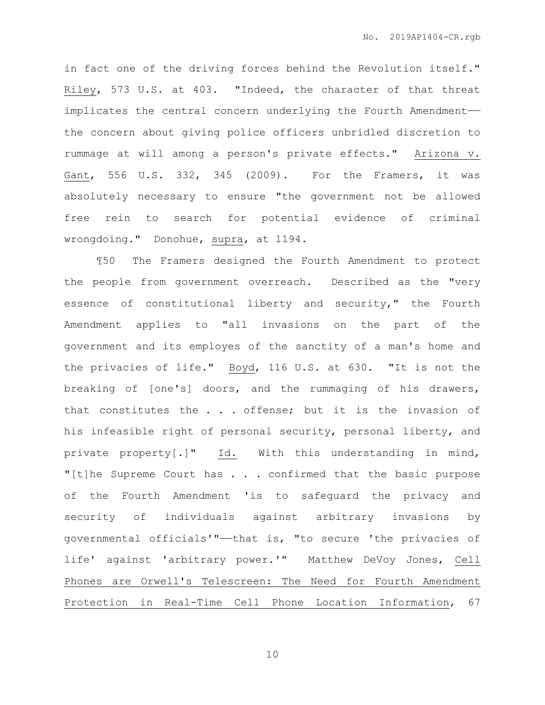in fact one of the driving forces behind the Revolution itself." Riley, 573 U.S. at 403. "Indeed, the character of that threat implicates the central concern underlying the Fourth Amendment— the concern about giving police officers unbridled discretion to rummage at will among a person's private effects." Arizona v. Gant, 556 U.S. 332, 345 (2009). For the Framers, it was absolutely necessary to ensure "the government not be allowed free rein to search for potential evidence of criminal wrongdoing." Donohue, supra, at 1194.

¶50 The Framers designed the Fourth Amendment to protect the people from government overreach. Described as the "very essence of constitutional liberty and security," the Fourth Amendment applies to "all invasions on the part of the government and its employes of the sanctity of a man's home and the privacies of life." Boyd, 116 U.S. at 630. "It is not the breaking of [one's] doors, and the rummaging of his drawers, that constitutes the . . . offense; but it is the invasion of his infeasible right of personal security, personal liberty, and private property[.]" Id. With this understanding in mind, "[t]he Supreme Court has . . . confirmed that the basic purpose of the Fourth Amendment 'is to safeguard the privacy and security of individuals against arbitrary invasions by governmental officials'"——that is, "to secure 'the privacies of life' against 'arbitrary power.'" Matthew DeVoy Jones, Cell Phones are Orwell's Telescreen: The Need for Fourth Amendment Protection in Real-Time Cell Phone Location Information, 67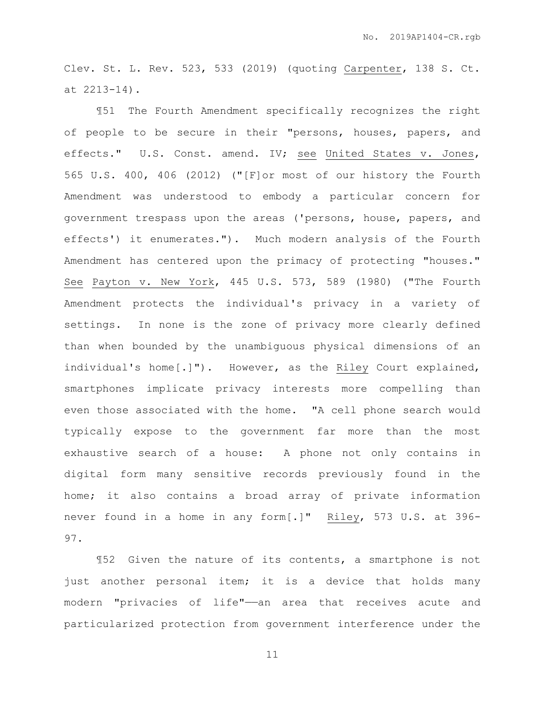Clev. St. L. Rev. 523, 533 (2019) (quoting Carpenter, 138 S. Ct. at 2213-14).

¶51 The Fourth Amendment specifically recognizes the right of people to be secure in their "persons, houses, papers, and effects." U.S. Const. amend. IV; see United States v. Jones, 565 U.S. 400, 406 (2012) ("[F]or most of our history the Fourth Amendment was understood to embody a particular concern for government trespass upon the areas ('persons, house, papers, and effects') it enumerates."). Much modern analysis of the Fourth Amendment has centered upon the primacy of protecting "houses." See Payton v. New York, 445 U.S. 573, 589 (1980) ("The Fourth Amendment protects the individual's privacy in a variety of settings. In none is the zone of privacy more clearly defined than when bounded by the unambiguous physical dimensions of an individual's home[.]"). However, as the Riley Court explained, smartphones implicate privacy interests more compelling than even those associated with the home. "A cell phone search would typically expose to the government far more than the most exhaustive search of a house: A phone not only contains in digital form many sensitive records previously found in the home; it also contains a broad array of private information never found in a home in any form[.]" Riley, 573 U.S. at 396- 97.

¶52 Given the nature of its contents, a smartphone is not just another personal item; it is a device that holds many modern "privacies of life"——an area that receives acute and particularized protection from government interference under the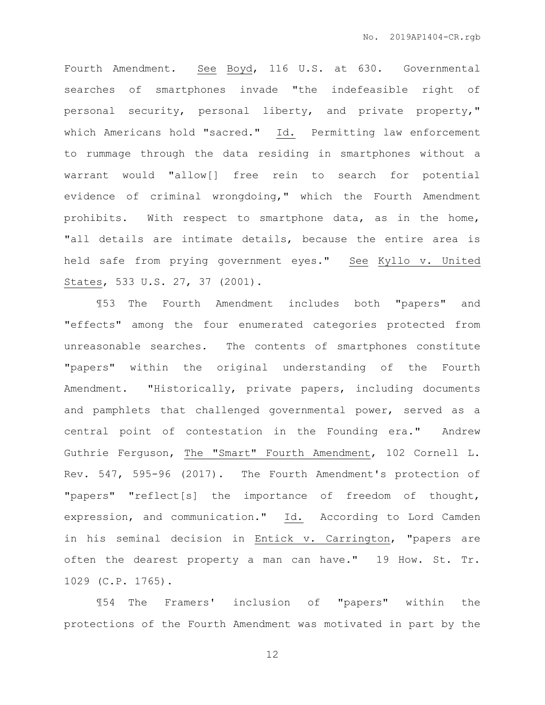Fourth Amendment. See Boyd, 116 U.S. at 630. Governmental searches of smartphones invade "the indefeasible right of personal security, personal liberty, and private property," which Americans hold "sacred." Id. Permitting law enforcement to rummage through the data residing in smartphones without a warrant would "allow[] free rein to search for potential evidence of criminal wrongdoing," which the Fourth Amendment prohibits. With respect to smartphone data, as in the home, "all details are intimate details, because the entire area is held safe from prying government eyes." See Kyllo v. United States, 533 U.S. 27, 37 (2001).

¶53 The Fourth Amendment includes both "papers" and "effects" among the four enumerated categories protected from unreasonable searches. The contents of smartphones constitute "papers" within the original understanding of the Fourth Amendment. "Historically, private papers, including documents and pamphlets that challenged governmental power, served as a central point of contestation in the Founding era." Andrew Guthrie Ferguson, The "Smart" Fourth Amendment, 102 Cornell L. Rev. 547, 595-96 (2017). The Fourth Amendment's protection of "papers" "reflect[s] the importance of freedom of thought, expression, and communication." Id. According to Lord Camden in his seminal decision in Entick v. Carrington, "papers are often the dearest property a man can have." 19 How. St. Tr. 1029 (C.P. 1765).

¶54 The Framers' inclusion of "papers" within the protections of the Fourth Amendment was motivated in part by the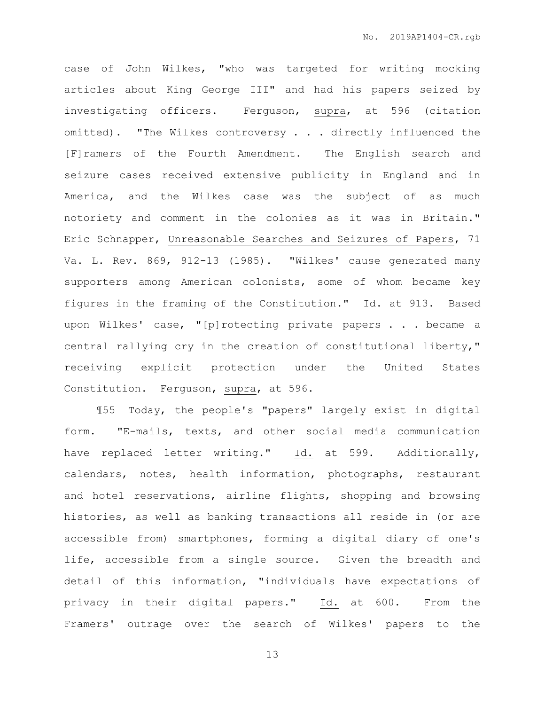case of John Wilkes, "who was targeted for writing mocking articles about King George III" and had his papers seized by investigating officers. Ferguson, supra, at 596 (citation omitted). "The Wilkes controversy . . . directly influenced the [F]ramers of the Fourth Amendment. The English search and seizure cases received extensive publicity in England and in America, and the Wilkes case was the subject of as much notoriety and comment in the colonies as it was in Britain." Eric Schnapper, Unreasonable Searches and Seizures of Papers, 71 Va. L. Rev. 869, 912-13 (1985). "Wilkes' cause generated many supporters among American colonists, some of whom became key figures in the framing of the Constitution." Id. at 913. Based upon Wilkes' case, "[p]rotecting private papers . . . became a central rallying cry in the creation of constitutional liberty," receiving explicit protection under the United States Constitution. Ferguson, supra, at 596.

¶55 Today, the people's "papers" largely exist in digital form. "E-mails, texts, and other social media communication have replaced letter writing." Id. at 599. Additionally, calendars, notes, health information, photographs, restaurant and hotel reservations, airline flights, shopping and browsing histories, as well as banking transactions all reside in (or are accessible from) smartphones, forming a digital diary of one's life, accessible from a single source. Given the breadth and detail of this information, "individuals have expectations of privacy in their digital papers." Id. at 600. From the Framers' outrage over the search of Wilkes' papers to the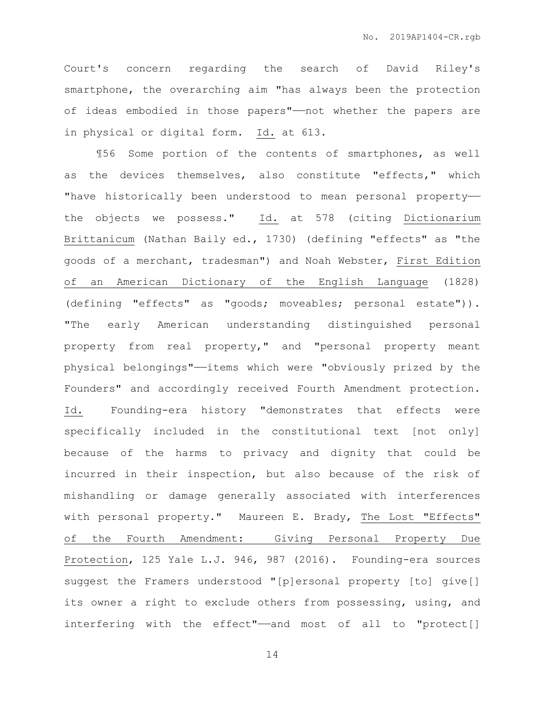Court's concern regarding the search of David Riley's smartphone, the overarching aim "has always been the protection of ideas embodied in those papers"——not whether the papers are in physical or digital form. Id. at 613.

¶56 Some portion of the contents of smartphones, as well as the devices themselves, also constitute "effects," which "have historically been understood to mean personal propertythe objects we possess." Id. at 578 (citing Dictionarium Brittanicum (Nathan Baily ed., 1730) (defining "effects" as "the goods of a merchant, tradesman") and Noah Webster, First Edition of an American Dictionary of the English Language (1828) (defining "effects" as "goods; moveables; personal estate")). "The early American understanding distinguished personal property from real property," and "personal property meant physical belongings"——items which were "obviously prized by the Founders" and accordingly received Fourth Amendment protection. Id. Founding-era history "demonstrates that effects were specifically included in the constitutional text [not only] because of the harms to privacy and dignity that could be incurred in their inspection, but also because of the risk of mishandling or damage generally associated with interferences with personal property." Maureen E. Brady, The Lost "Effects" of the Fourth Amendment: Giving Personal Property Due Protection, 125 Yale L.J. 946, 987 (2016). Founding-era sources suggest the Framers understood "[p]ersonal property [to] give[] its owner a right to exclude others from possessing, using, and interfering with the effect"—and most of all to "protect[]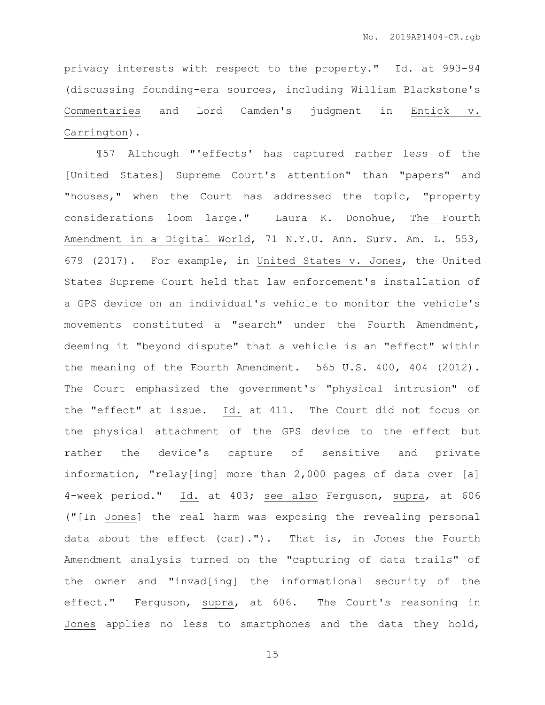privacy interests with respect to the property." Id. at 993-94 (discussing founding-era sources, including William Blackstone's Commentaries and Lord Camden's judgment in Entick v. Carrington).

¶57 Although "'effects' has captured rather less of the [United States] Supreme Court's attention" than "papers" and "houses," when the Court has addressed the topic, "property considerations loom large." Laura K. Donohue, The Fourth Amendment in a Digital World, 71 N.Y.U. Ann. Surv. Am. L. 553, 679 (2017). For example, in United States v. Jones, the United States Supreme Court held that law enforcement's installation of a GPS device on an individual's vehicle to monitor the vehicle's movements constituted a "search" under the Fourth Amendment, deeming it "beyond dispute" that a vehicle is an "effect" within the meaning of the Fourth Amendment. 565 U.S. 400, 404 (2012). The Court emphasized the government's "physical intrusion" of the "effect" at issue. Id. at 411. The Court did not focus on the physical attachment of the GPS device to the effect but rather the device's capture of sensitive and private information, "relay[ing] more than 2,000 pages of data over [a] 4-week period." Id. at 403; see also Ferguson, supra, at 606 ("[In Jones] the real harm was exposing the revealing personal data about the effect (car)."). That is, in Jones the Fourth Amendment analysis turned on the "capturing of data trails" of the owner and "invad[ing] the informational security of the effect." Ferguson, supra, at 606. The Court's reasoning in Jones applies no less to smartphones and the data they hold,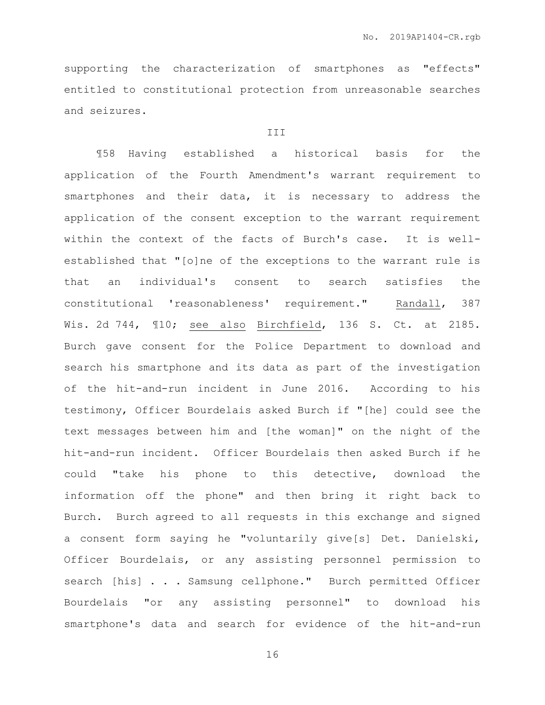supporting the characterization of smartphones as "effects" entitled to constitutional protection from unreasonable searches and seizures.

#### **III**

¶58 Having established a historical basis for the application of the Fourth Amendment's warrant requirement to smartphones and their data, it is necessary to address the application of the consent exception to the warrant requirement within the context of the facts of Burch's case. It is wellestablished that "[o]ne of the exceptions to the warrant rule is that an individual's consent to search satisfies the constitutional 'reasonableness' requirement." Randall, 387 Wis. 2d 744, ¶10; see also Birchfield, 136 S. Ct. at 2185. Burch gave consent for the Police Department to download and search his smartphone and its data as part of the investigation of the hit-and-run incident in June 2016. According to his testimony, Officer Bourdelais asked Burch if "[he] could see the text messages between him and [the woman]" on the night of the hit-and-run incident. Officer Bourdelais then asked Burch if he could "take his phone to this detective, download the information off the phone" and then bring it right back to Burch. Burch agreed to all requests in this exchange and signed a consent form saying he "voluntarily give[s] Det. Danielski, Officer Bourdelais, or any assisting personnel permission to search [his] . . . Samsung cellphone." Burch permitted Officer Bourdelais "or any assisting personnel" to download his smartphone's data and search for evidence of the hit-and-run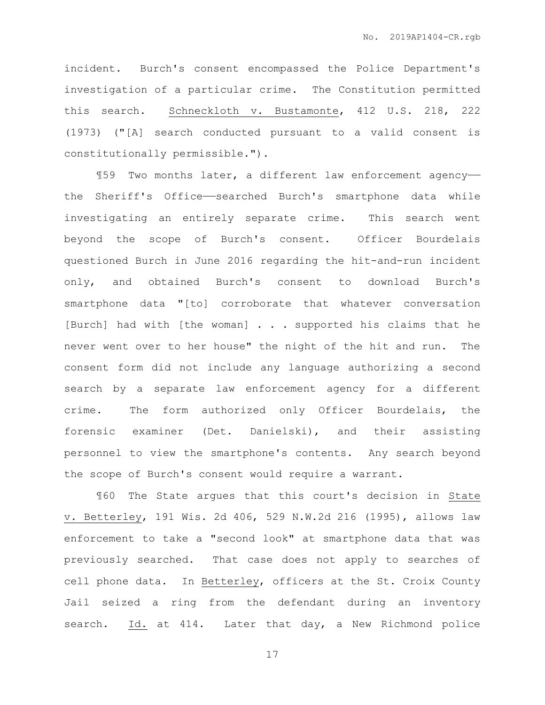incident. Burch's consent encompassed the Police Department's investigation of a particular crime. The Constitution permitted this search. Schneckloth v. Bustamonte, 412 U.S. 218, 222 (1973) ("[A] search conducted pursuant to a valid consent is constitutionally permissible.").

¶59 Two months later, a different law enforcement agency— the Sheriff's Office—searched Burch's smartphone data while investigating an entirely separate crime. This search went beyond the scope of Burch's consent. Officer Bourdelais questioned Burch in June 2016 regarding the hit-and-run incident only, and obtained Burch's consent to download Burch's smartphone data "[to] corroborate that whatever conversation [Burch] had with [the woman] . . . supported his claims that he never went over to her house" the night of the hit and run. The consent form did not include any language authorizing a second search by a separate law enforcement agency for a different crime. The form authorized only Officer Bourdelais, the forensic examiner (Det. Danielski), and their assisting personnel to view the smartphone's contents. Any search beyond the scope of Burch's consent would require a warrant.

¶60 The State argues that this court's decision in State v. Betterley, 191 Wis. 2d 406, 529 N.W.2d 216 (1995), allows law enforcement to take a "second look" at smartphone data that was previously searched. That case does not apply to searches of cell phone data. In Betterley, officers at the St. Croix County Jail seized a ring from the defendant during an inventory search. Id. at 414. Later that day, a New Richmond police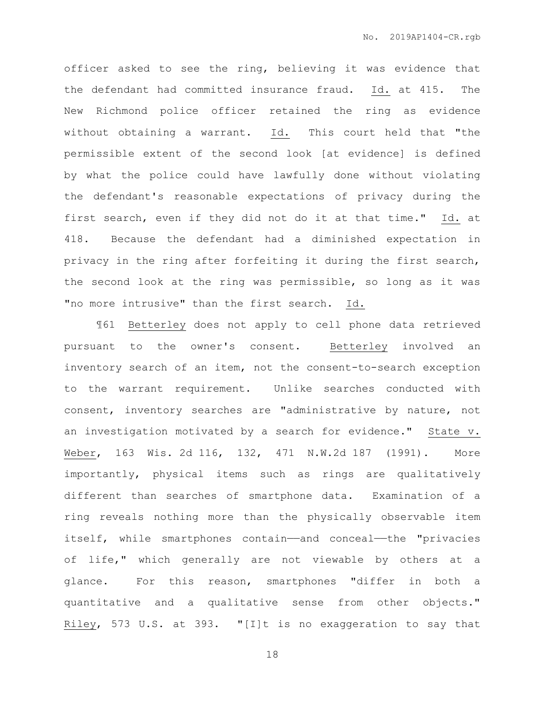officer asked to see the ring, believing it was evidence that the defendant had committed insurance fraud. Id. at 415. The New Richmond police officer retained the ring as evidence without obtaining a warrant. Id. This court held that "the permissible extent of the second look [at evidence] is defined by what the police could have lawfully done without violating the defendant's reasonable expectations of privacy during the first search, even if they did not do it at that time." Id. at 418. Because the defendant had a diminished expectation in privacy in the ring after forfeiting it during the first search, the second look at the ring was permissible, so long as it was "no more intrusive" than the first search. Id.

¶61 Betterley does not apply to cell phone data retrieved pursuant to the owner's consent. Betterley involved an inventory search of an item, not the consent-to-search exception to the warrant requirement. Unlike searches conducted with consent, inventory searches are "administrative by nature, not an investigation motivated by a search for evidence." State v. Weber, 163 Wis. 2d 116, 132, 471 N.W.2d 187 (1991). More importantly, physical items such as rings are qualitatively different than searches of smartphone data. Examination of a ring reveals nothing more than the physically observable item itself, while smartphones contain—and conceal—the "privacies of life," which generally are not viewable by others at a glance. For this reason, smartphones "differ in both a quantitative and a qualitative sense from other objects." Riley, 573 U.S. at 393. "[I]t is no exaggeration to say that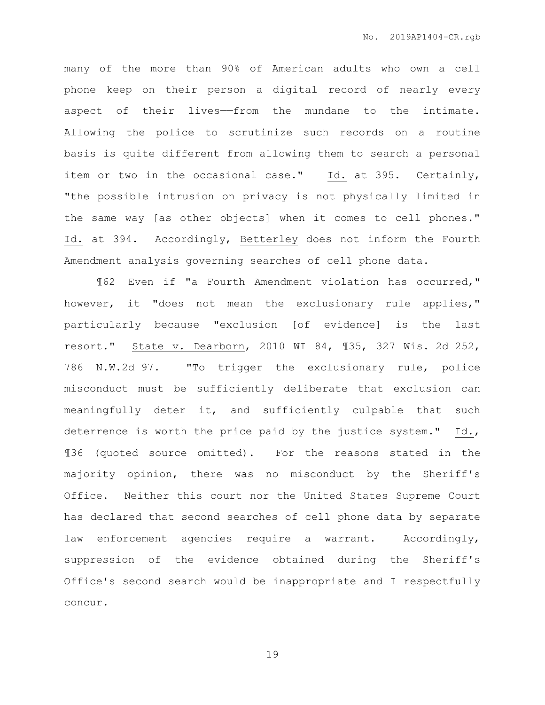many of the more than 90% of American adults who own a cell phone keep on their person a digital record of nearly every aspect of their lives——from the mundane to the intimate. Allowing the police to scrutinize such records on a routine basis is quite different from allowing them to search a personal item or two in the occasional case." Id. at 395. Certainly, "the possible intrusion on privacy is not physically limited in the same way [as other objects] when it comes to cell phones." Id. at 394. Accordingly, Betterley does not inform the Fourth Amendment analysis governing searches of cell phone data.

¶62 Even if "a Fourth Amendment violation has occurred," however, it "does not mean the exclusionary rule applies," particularly because "exclusion [of evidence] is the last resort." State v. Dearborn, 2010 WI 84, ¶35, 327 Wis. 2d 252, 786 N.W.2d 97. "To trigger the exclusionary rule, police misconduct must be sufficiently deliberate that exclusion can meaningfully deter it, and sufficiently culpable that such deterrence is worth the price paid by the justice system." Id., ¶36 (quoted source omitted). For the reasons stated in the majority opinion, there was no misconduct by the Sheriff's Office. Neither this court nor the United States Supreme Court has declared that second searches of cell phone data by separate law enforcement agencies require a warrant. Accordingly, suppression of the evidence obtained during the Sheriff's Office's second search would be inappropriate and I respectfully concur.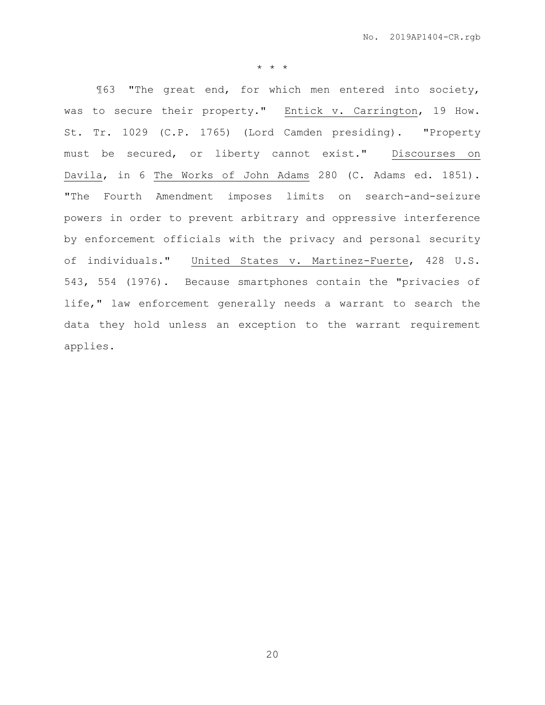\* \* \*

¶63 "The great end, for which men entered into society, was to secure their property." Entick v. Carrington, 19 How. St. Tr. 1029 (C.P. 1765) (Lord Camden presiding). "Property must be secured, or liberty cannot exist." Discourses on Davila, in 6 The Works of John Adams 280 (C. Adams ed. 1851). "The Fourth Amendment imposes limits on search-and-seizure powers in order to prevent arbitrary and oppressive interference by enforcement officials with the privacy and personal security of individuals." United States v. Martinez-Fuerte, 428 U.S. 543, 554 (1976). Because smartphones contain the "privacies of life," law enforcement generally needs a warrant to search the data they hold unless an exception to the warrant requirement applies.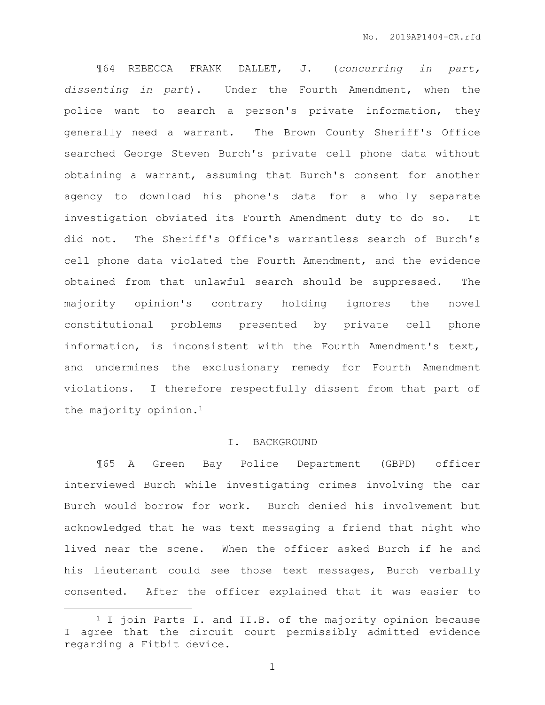¶64 REBECCA FRANK DALLET, J. (*concurring in part, dissenting in part*). Under the Fourth Amendment, when the police want to search a person's private information, they generally need a warrant. The Brown County Sheriff's Office searched George Steven Burch's private cell phone data without obtaining a warrant, assuming that Burch's consent for another agency to download his phone's data for a wholly separate investigation obviated its Fourth Amendment duty to do so. It did not. The Sheriff's Office's warrantless search of Burch's cell phone data violated the Fourth Amendment, and the evidence obtained from that unlawful search should be suppressed. The majority opinion's contrary holding ignores the novel constitutional problems presented by private cell phone information, is inconsistent with the Fourth Amendment's text, and undermines the exclusionary remedy for Fourth Amendment violations. I therefore respectfully dissent from that part of the majority opinion.<sup>1</sup>

## I. BACKGROUND

¶65 A Green Bay Police Department (GBPD) officer interviewed Burch while investigating crimes involving the car Burch would borrow for work. Burch denied his involvement but acknowledged that he was text messaging a friend that night who lived near the scene. When the officer asked Burch if he and his lieutenant could see those text messages, Burch verbally consented. After the officer explained that it was easier to

 $\overline{a}$ 

<sup>&</sup>lt;sup>1</sup> I join Parts I. and II.B. of the majority opinion because I agree that the circuit court permissibly admitted evidence regarding a Fitbit device.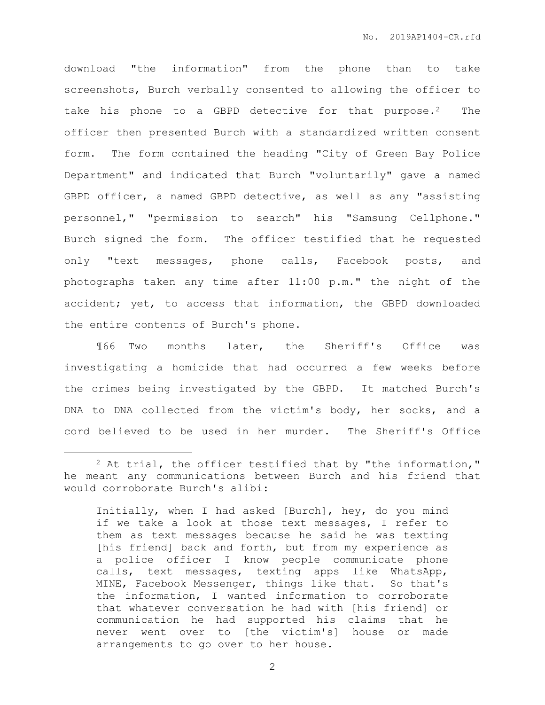download "the information" from the phone than to take screenshots, Burch verbally consented to allowing the officer to take his phone to a GBPD detective for that purpose.<sup>2</sup> The officer then presented Burch with a standardized written consent form. The form contained the heading "City of Green Bay Police Department" and indicated that Burch "voluntarily" gave a named GBPD officer, a named GBPD detective, as well as any "assisting personnel," "permission to search" his "Samsung Cellphone." Burch signed the form. The officer testified that he requested only "text messages, phone calls, Facebook posts, and photographs taken any time after 11:00 p.m." the night of the accident; yet, to access that information, the GBPD downloaded the entire contents of Burch's phone.

¶66 Two months later, the Sheriff's Office was investigating a homicide that had occurred a few weeks before the crimes being investigated by the GBPD. It matched Burch's DNA to DNA collected from the victim's body, her socks, and a cord believed to be used in her murder. The Sheriff's Office

 $\overline{a}$ 

 $2$  At trial, the officer testified that by "the information," he meant any communications between Burch and his friend that would corroborate Burch's alibi:

Initially, when I had asked [Burch], hey, do you mind if we take a look at those text messages, I refer to them as text messages because he said he was texting [his friend] back and forth, but from my experience as a police officer I know people communicate phone calls, text messages, texting apps like WhatsApp, MINE, Facebook Messenger, things like that. So that's the information, I wanted information to corroborate that whatever conversation he had with [his friend] or communication he had supported his claims that he never went over to [the victim's] house or made arrangements to go over to her house.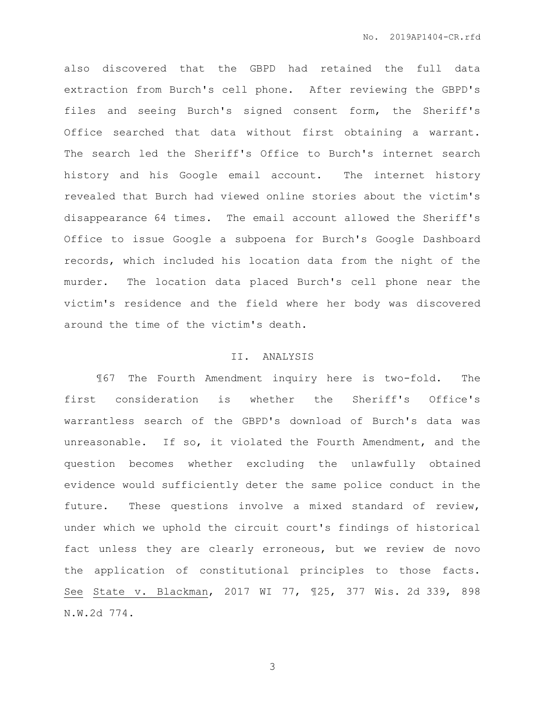also discovered that the GBPD had retained the full data extraction from Burch's cell phone. After reviewing the GBPD's files and seeing Burch's signed consent form, the Sheriff's Office searched that data without first obtaining a warrant. The search led the Sheriff's Office to Burch's internet search history and his Google email account. The internet history revealed that Burch had viewed online stories about the victim's disappearance 64 times. The email account allowed the Sheriff's Office to issue Google a subpoena for Burch's Google Dashboard records, which included his location data from the night of the murder. The location data placed Burch's cell phone near the victim's residence and the field where her body was discovered around the time of the victim's death.

### II. ANALYSIS

¶67 The Fourth Amendment inquiry here is two-fold. The first consideration is whether the Sheriff's Office's warrantless search of the GBPD's download of Burch's data was unreasonable. If so, it violated the Fourth Amendment, and the question becomes whether excluding the unlawfully obtained evidence would sufficiently deter the same police conduct in the future. These questions involve a mixed standard of review, under which we uphold the circuit court's findings of historical fact unless they are clearly erroneous, but we review de novo the application of constitutional principles to those facts. See State v. Blackman, 2017 WI 77, ¶25, 377 Wis. 2d 339, 898 N.W.2d 774.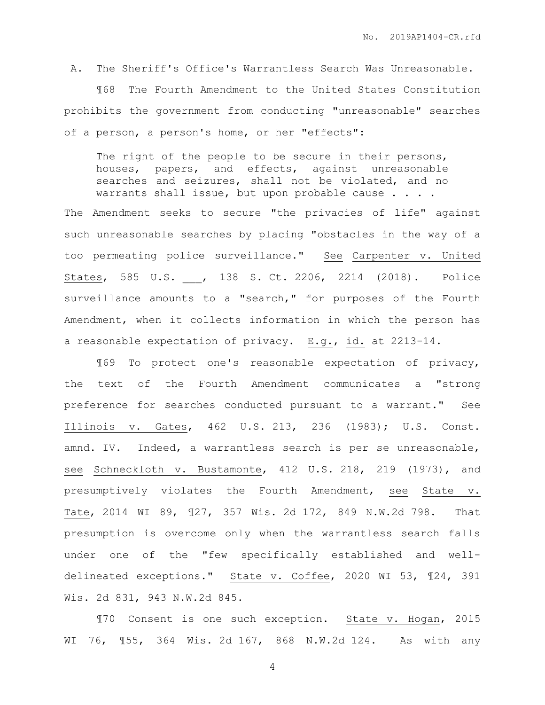A. The Sheriff's Office's Warrantless Search Was Unreasonable.

¶68 The Fourth Amendment to the United States Constitution prohibits the government from conducting "unreasonable" searches of a person, a person's home, or her "effects":

The right of the people to be secure in their persons, houses, papers, and effects, against unreasonable searches and seizures, shall not be violated, and no warrants shall issue, but upon probable cause . . . .

The Amendment seeks to secure "the privacies of life" against such unreasonable searches by placing "obstacles in the way of a too permeating police surveillance." See Carpenter v. United States, 585 U.S. \_\_\_, 138 S. Ct. 2206, 2214 (2018). Police surveillance amounts to a "search," for purposes of the Fourth Amendment, when it collects information in which the person has a reasonable expectation of privacy. E.g., id. at 2213-14.

¶69 To protect one's reasonable expectation of privacy, the text of the Fourth Amendment communicates a "strong preference for searches conducted pursuant to a warrant." See Illinois v. Gates, 462 U.S. 213, 236 (1983); U.S. Const. amnd. IV. Indeed, a warrantless search is per se unreasonable, see Schneckloth v. Bustamonte, 412 U.S. 218, 219 (1973), and presumptively violates the Fourth Amendment, see State v. Tate, 2014 WI 89, ¶27, 357 Wis. 2d 172, 849 N.W.2d 798. That presumption is overcome only when the warrantless search falls under one of the "few specifically established and welldelineated exceptions." State v. Coffee, 2020 WI 53, ¶24, 391 Wis. 2d 831, 943 N.W.2d 845.

¶70 Consent is one such exception. State v. Hogan, 2015 WI 76, ¶55, 364 Wis. 2d 167, 868 N.W.2d 124. As with any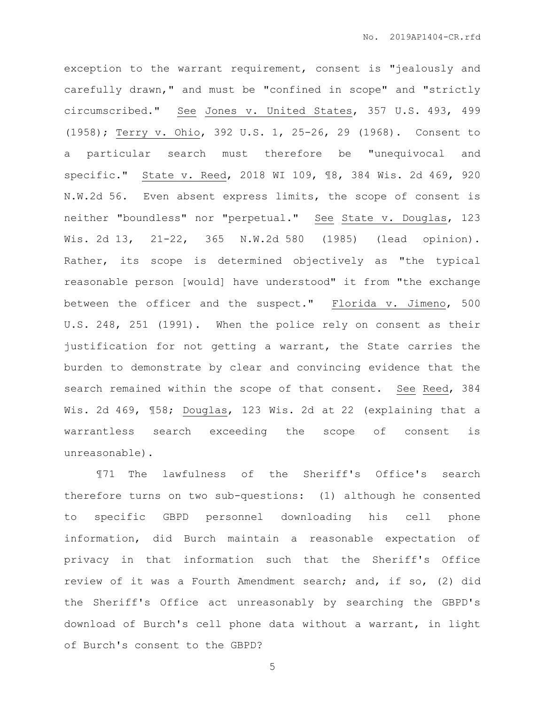exception to the warrant requirement, consent is "jealously and carefully drawn," and must be "confined in scope" and "strictly circumscribed." See Jones v. United States, 357 U.S. 493, 499 (1958); Terry v. Ohio, 392 U.S. 1, 25-26, 29 (1968). Consent to a particular search must therefore be "unequivocal and specific." State v. Reed, 2018 WI 109, ¶8, 384 Wis. 2d 469, 920 N.W.2d 56. Even absent express limits, the scope of consent is neither "boundless" nor "perpetual." See State v. Douglas, 123 Wis. 2d 13, 21-22, 365 N.W.2d 580 (1985) (lead opinion). Rather, its scope is determined objectively as "the typical reasonable person [would] have understood" it from "the exchange between the officer and the suspect." Florida v. Jimeno, 500 U.S. 248, 251 (1991). When the police rely on consent as their justification for not getting a warrant, the State carries the burden to demonstrate by clear and convincing evidence that the search remained within the scope of that consent. See Reed, 384 Wis. 2d 469, ¶58; Douglas, 123 Wis. 2d at 22 (explaining that a warrantless search exceeding the scope of consent is unreasonable).

¶71 The lawfulness of the Sheriff's Office's search therefore turns on two sub-questions: (1) although he consented to specific GBPD personnel downloading his cell phone information, did Burch maintain a reasonable expectation of privacy in that information such that the Sheriff's Office review of it was a Fourth Amendment search; and, if so, (2) did the Sheriff's Office act unreasonably by searching the GBPD's download of Burch's cell phone data without a warrant, in light of Burch's consent to the GBPD?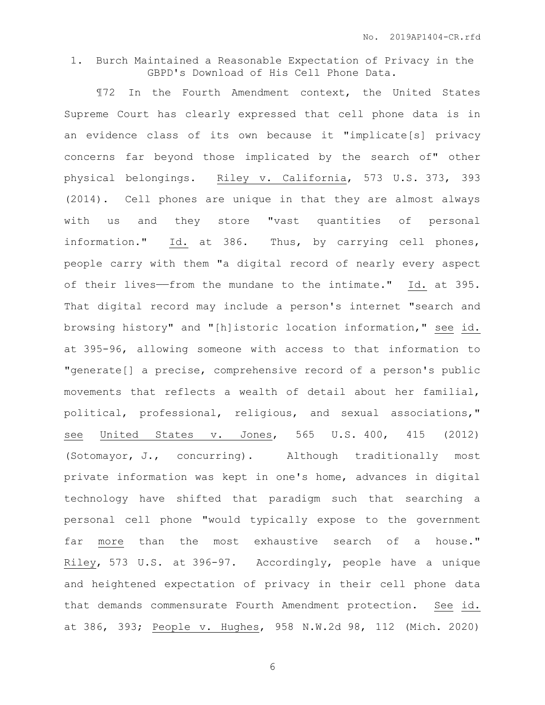## 1. Burch Maintained a Reasonable Expectation of Privacy in the GBPD's Download of His Cell Phone Data.

¶72 In the Fourth Amendment context, the United States Supreme Court has clearly expressed that cell phone data is in an evidence class of its own because it "implicate[s] privacy concerns far beyond those implicated by the search of" other physical belongings. Riley v. California, 573 U.S. 373, 393 (2014). Cell phones are unique in that they are almost always with us and they store "vast quantities of personal information." Id. at 386. Thus, by carrying cell phones, people carry with them "a digital record of nearly every aspect of their lives--from the mundane to the intimate." Id. at 395. That digital record may include a person's internet "search and browsing history" and "[h]istoric location information," see id. at 395-96, allowing someone with access to that information to "generate[] a precise, comprehensive record of a person's public movements that reflects a wealth of detail about her familial, political, professional, religious, and sexual associations," see United States v. Jones, 565 U.S. 400, 415 (2012) (Sotomayor, J., concurring). Although traditionally most private information was kept in one's home, advances in digital technology have shifted that paradigm such that searching a personal cell phone "would typically expose to the government far more than the most exhaustive search of a house." Riley, 573 U.S. at 396-97. Accordingly, people have a unique and heightened expectation of privacy in their cell phone data that demands commensurate Fourth Amendment protection. See id. at 386, 393; People v. Hughes, 958 N.W.2d 98, 112 (Mich. 2020)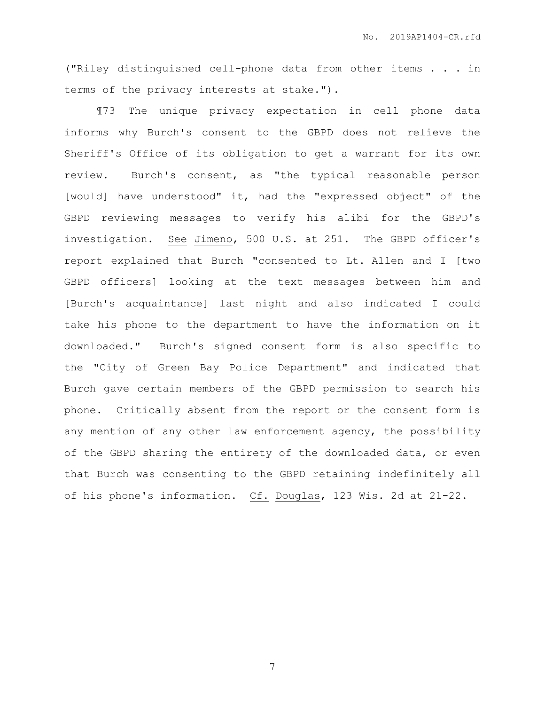("Riley distinguished cell-phone data from other items . . . in terms of the privacy interests at stake.").

¶73 The unique privacy expectation in cell phone data informs why Burch's consent to the GBPD does not relieve the Sheriff's Office of its obligation to get a warrant for its own review. Burch's consent, as "the typical reasonable person [would] have understood" it, had the "expressed object" of the GBPD reviewing messages to verify his alibi for the GBPD's investigation. See Jimeno, 500 U.S. at 251. The GBPD officer's report explained that Burch "consented to Lt. Allen and I [two GBPD officers] looking at the text messages between him and [Burch's acquaintance] last night and also indicated I could take his phone to the department to have the information on it downloaded." Burch's signed consent form is also specific to the "City of Green Bay Police Department" and indicated that Burch gave certain members of the GBPD permission to search his phone. Critically absent from the report or the consent form is any mention of any other law enforcement agency, the possibility of the GBPD sharing the entirety of the downloaded data, or even that Burch was consenting to the GBPD retaining indefinitely all of his phone's information. Cf. Douglas, 123 Wis. 2d at 21-22.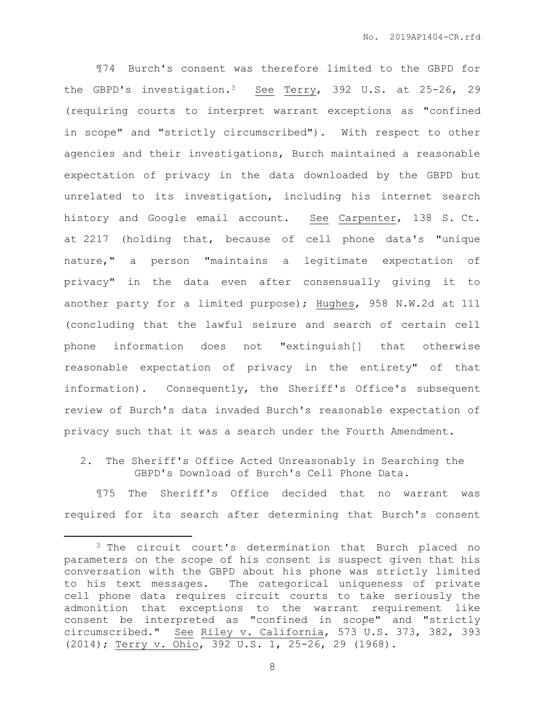¶74 Burch's consent was therefore limited to the GBPD for the GBPD's investigation.3 See Terry, 392 U.S. at 25-26, 29 (requiring courts to interpret warrant exceptions as "confined in scope" and "strictly circumscribed"). With respect to other agencies and their investigations, Burch maintained a reasonable expectation of privacy in the data downloaded by the GBPD but unrelated to its investigation, including his internet search history and Google email account. See Carpenter, 138 S. Ct. at 2217 (holding that, because of cell phone data's "unique nature," a person "maintains a legitimate expectation of privacy" in the data even after consensually giving it to another party for a limited purpose); Hughes, 958 N.W.2d at 111 (concluding that the lawful seizure and search of certain cell phone information does not "extinguish[] that otherwise reasonable expectation of privacy in the entirety" of that information). Consequently, the Sheriff's Office's subsequent review of Burch's data invaded Burch's reasonable expectation of privacy such that it was a search under the Fourth Amendment.

2. The Sheriff's Office Acted Unreasonably in Searching the GBPD's Download of Burch's Cell Phone Data.

¶75 The Sheriff's Office decided that no warrant was required for its search after determining that Burch's consent

 $\overline{a}$ 

<sup>&</sup>lt;sup>3</sup> The circuit court's determination that Burch placed no parameters on the scope of his consent is suspect given that his conversation with the GBPD about his phone was strictly limited to his text messages. The categorical uniqueness of private cell phone data requires circuit courts to take seriously the admonition that exceptions to the warrant requirement like consent be interpreted as "confined in scope" and "strictly circumscribed." See Riley v. California, 573 U.S. 373, 382, 393 (2014); Terry v. Ohio, 392 U.S. 1, 25-26, 29 (1968).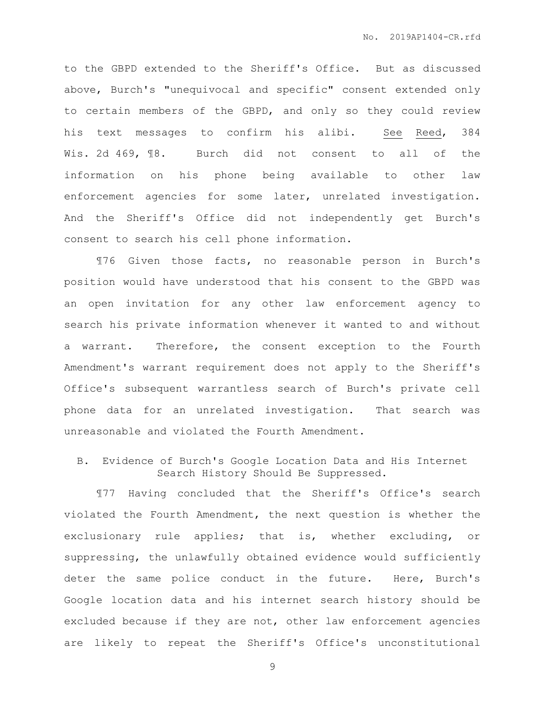to the GBPD extended to the Sheriff's Office. But as discussed above, Burch's "unequivocal and specific" consent extended only to certain members of the GBPD, and only so they could review his text messages to confirm his alibi. See Reed, 384 Wis. 2d 469, 18. Burch did not consent to all of the information on his phone being available to other law enforcement agencies for some later, unrelated investigation. And the Sheriff's Office did not independently get Burch's consent to search his cell phone information.

¶76 Given those facts, no reasonable person in Burch's position would have understood that his consent to the GBPD was an open invitation for any other law enforcement agency to search his private information whenever it wanted to and without a warrant. Therefore, the consent exception to the Fourth Amendment's warrant requirement does not apply to the Sheriff's Office's subsequent warrantless search of Burch's private cell phone data for an unrelated investigation. That search was unreasonable and violated the Fourth Amendment.

# B. Evidence of Burch's Google Location Data and His Internet Search History Should Be Suppressed.

¶77 Having concluded that the Sheriff's Office's search violated the Fourth Amendment, the next question is whether the exclusionary rule applies; that is, whether excluding, or suppressing, the unlawfully obtained evidence would sufficiently deter the same police conduct in the future. Here, Burch's Google location data and his internet search history should be excluded because if they are not, other law enforcement agencies are likely to repeat the Sheriff's Office's unconstitutional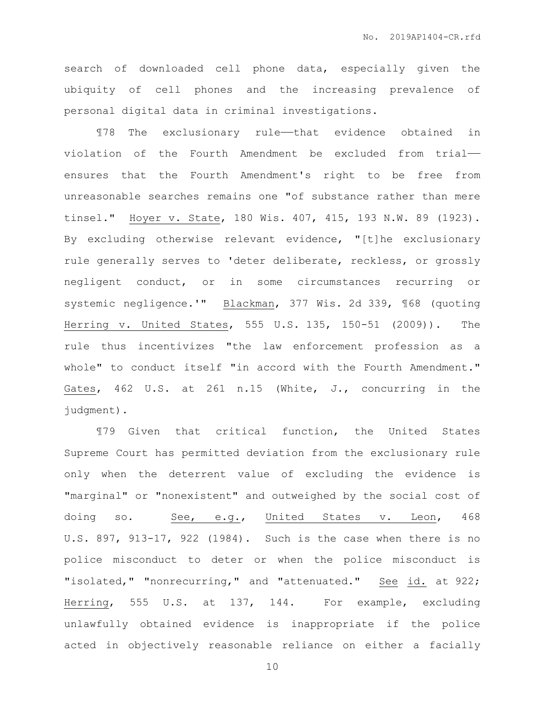search of downloaded cell phone data, especially given the ubiquity of cell phones and the increasing prevalence of personal digital data in criminal investigations.

¶78 The exclusionary rule——that evidence obtained in violation of the Fourth Amendment be excluded from trial— ensures that the Fourth Amendment's right to be free from unreasonable searches remains one "of substance rather than mere tinsel." Hoyer v. State, 180 Wis. 407, 415, 193 N.W. 89 (1923). By excluding otherwise relevant evidence, "[t]he exclusionary rule generally serves to 'deter deliberate, reckless, or grossly negligent conduct, or in some circumstances recurring or systemic negligence.'" Blackman, 377 Wis. 2d 339, ¶68 (quoting Herring v. United States, 555 U.S. 135, 150-51 (2009)). The rule thus incentivizes "the law enforcement profession as a whole" to conduct itself "in accord with the Fourth Amendment." Gates, 462 U.S. at 261 n.15 (White, J., concurring in the judgment).

¶79 Given that critical function, the United States Supreme Court has permitted deviation from the exclusionary rule only when the deterrent value of excluding the evidence is "marginal" or "nonexistent" and outweighed by the social cost of doing so. See, e.g., United States v. Leon, 468 U.S. 897, 913-17, 922 (1984). Such is the case when there is no police misconduct to deter or when the police misconduct is "isolated," "nonrecurring," and "attenuated." See id. at 922; Herring, 555 U.S. at 137, 144. For example, excluding unlawfully obtained evidence is inappropriate if the police acted in objectively reasonable reliance on either a facially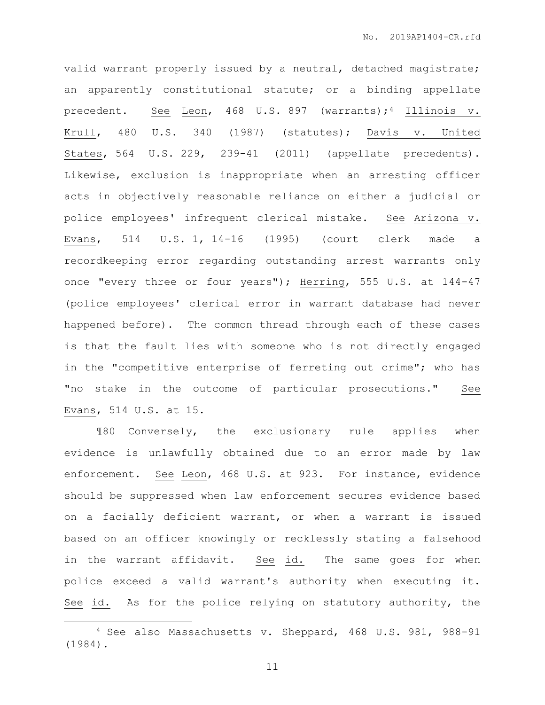valid warrant properly issued by a neutral, detached magistrate; an apparently constitutional statute; or a binding appellate precedent. See Leon, 468 U.S. 897 (warrants);<sup>4</sup> Illinois v. Krull, 480 U.S. 340 (1987) (statutes); Davis v. United States, 564 U.S. 229, 239-41 (2011) (appellate precedents). Likewise, exclusion is inappropriate when an arresting officer acts in objectively reasonable reliance on either a judicial or police employees' infrequent clerical mistake. See Arizona v. Evans, 514 U.S. 1, 14-16 (1995) (court clerk made a recordkeeping error regarding outstanding arrest warrants only once "every three or four years"); Herring, 555 U.S. at 144-47 (police employees' clerical error in warrant database had never happened before). The common thread through each of these cases is that the fault lies with someone who is not directly engaged in the "competitive enterprise of ferreting out crime"; who has "no stake in the outcome of particular prosecutions." See Evans, 514 U.S. at 15.

¶80 Conversely, the exclusionary rule applies when evidence is unlawfully obtained due to an error made by law enforcement. See Leon, 468 U.S. at 923. For instance, evidence should be suppressed when law enforcement secures evidence based on a facially deficient warrant, or when a warrant is issued based on an officer knowingly or recklessly stating a falsehood in the warrant affidavit. See id. The same goes for when police exceed a valid warrant's authority when executing it. See id. As for the police relying on statutory authority, the

 $\overline{a}$ 

<sup>4</sup> See also Massachusetts v. Sheppard, 468 U.S. 981, 988-91 (1984).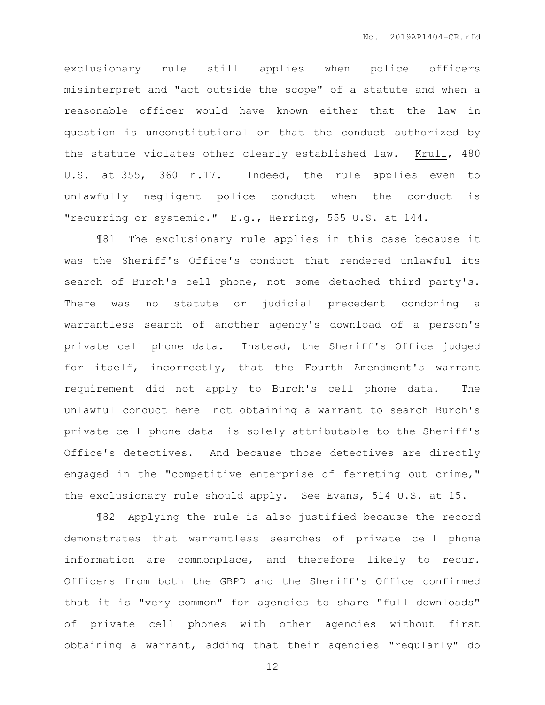exclusionary rule still applies when police officers misinterpret and "act outside the scope" of a statute and when a reasonable officer would have known either that the law in question is unconstitutional or that the conduct authorized by the statute violates other clearly established law. Krull, 480 U.S. at 355, 360 n.17. Indeed, the rule applies even to unlawfully negligent police conduct when the conduct is "recurring or systemic." E.g., Herring, 555 U.S. at 144.

¶81 The exclusionary rule applies in this case because it was the Sheriff's Office's conduct that rendered unlawful its search of Burch's cell phone, not some detached third party's. There was no statute or judicial precedent condoning a warrantless search of another agency's download of a person's private cell phone data. Instead, the Sheriff's Office judged for itself, incorrectly, that the Fourth Amendment's warrant requirement did not apply to Burch's cell phone data. The unlawful conduct here——not obtaining a warrant to search Burch's private cell phone data—is solely attributable to the Sheriff's Office's detectives. And because those detectives are directly engaged in the "competitive enterprise of ferreting out crime," the exclusionary rule should apply. See Evans, 514 U.S. at 15.

¶82 Applying the rule is also justified because the record demonstrates that warrantless searches of private cell phone information are commonplace, and therefore likely to recur. Officers from both the GBPD and the Sheriff's Office confirmed that it is "very common" for agencies to share "full downloads" of private cell phones with other agencies without first obtaining a warrant, adding that their agencies "regularly" do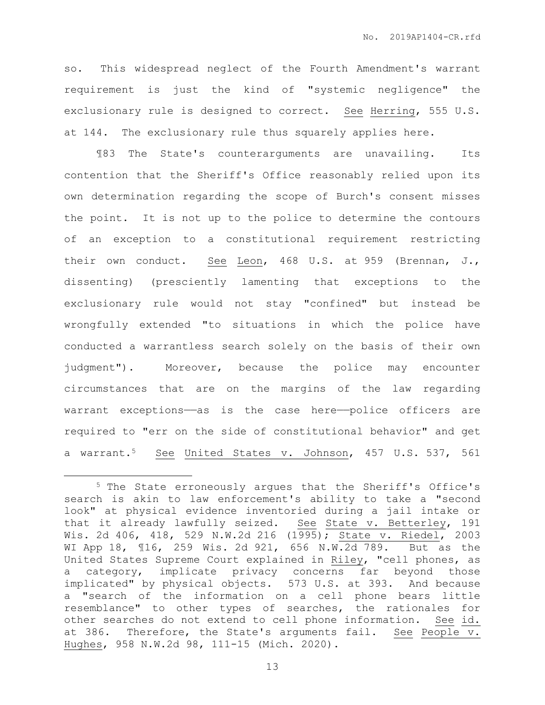so. This widespread neglect of the Fourth Amendment's warrant requirement is just the kind of "systemic negligence" the exclusionary rule is designed to correct. See Herring, 555 U.S. at 144. The exclusionary rule thus squarely applies here.

¶83 The State's counterarguments are unavailing. Its contention that the Sheriff's Office reasonably relied upon its own determination regarding the scope of Burch's consent misses the point. It is not up to the police to determine the contours of an exception to a constitutional requirement restricting their own conduct. See Leon, 468 U.S. at 959 (Brennan, J., dissenting) (presciently lamenting that exceptions to the exclusionary rule would not stay "confined" but instead be wrongfully extended "to situations in which the police have conducted a warrantless search solely on the basis of their own judgment"). Moreover, because the police may encounter circumstances that are on the margins of the law regarding warrant exceptions—as is the case here—police officers are required to "err on the side of constitutional behavior" and get a warrant.5 See United States v. Johnson, 457 U.S. 537, 561

 $\overline{a}$ 

<sup>5</sup> The State erroneously argues that the Sheriff's Office's search is akin to law enforcement's ability to take a "second look" at physical evidence inventoried during a jail intake or that it already lawfully seized. See State v. Betterley, 191 Wis. 2d 406, 418, 529 N.W.2d 216 (1995); State v. Riedel, 2003 WI App 18, ¶16, 259 Wis. 2d 921, 656 N.W.2d 789. But as the United States Supreme Court explained in Riley, "cell phones, as a category, implicate privacy concerns far beyond those implicated" by physical objects. 573 U.S. at 393. And because a "search of the information on a cell phone bears little resemblance" to other types of searches, the rationales for other searches do not extend to cell phone information. See id. at 386. Therefore, the State's arguments fail. See People v. Hughes, 958 N.W.2d 98, 111-15 (Mich. 2020).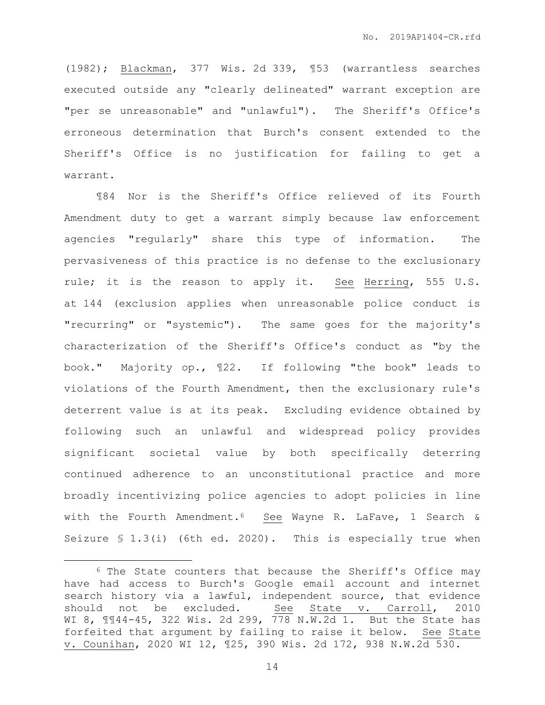(1982); Blackman, 377 Wis. 2d 339, ¶53 (warrantless searches executed outside any "clearly delineated" warrant exception are "per se unreasonable" and "unlawful"). The Sheriff's Office's erroneous determination that Burch's consent extended to the Sheriff's Office is no justification for failing to get a warrant.

¶84 Nor is the Sheriff's Office relieved of its Fourth Amendment duty to get a warrant simply because law enforcement agencies "regularly" share this type of information. The pervasiveness of this practice is no defense to the exclusionary rule; it is the reason to apply it. See Herring, 555 U.S. at 144 (exclusion applies when unreasonable police conduct is "recurring" or "systemic"). The same goes for the majority's characterization of the Sheriff's Office's conduct as "by the book." Majority op., ¶22. If following "the book" leads to violations of the Fourth Amendment, then the exclusionary rule's deterrent value is at its peak. Excluding evidence obtained by following such an unlawful and widespread policy provides significant societal value by both specifically deterring continued adherence to an unconstitutional practice and more broadly incentivizing police agencies to adopt policies in line with the Fourth Amendment.<sup>6</sup> See Wayne R. LaFave, 1 Search & Seizure § 1.3(i) (6th ed. 2020). This is especially true when

 $\overline{a}$ 

<sup>6</sup> The State counters that because the Sheriff's Office may have had access to Burch's Google email account and internet search history via a lawful, independent source, that evidence should not be excluded. See State v. Carroll, 2010 WI 8, 1144-45, 322 Wis. 2d 299, 778 N.W.2d 1. But the State has forfeited that argument by failing to raise it below. See State v. Counihan, 2020 WI 12, ¶25, 390 Wis. 2d 172, 938 N.W.2d 530.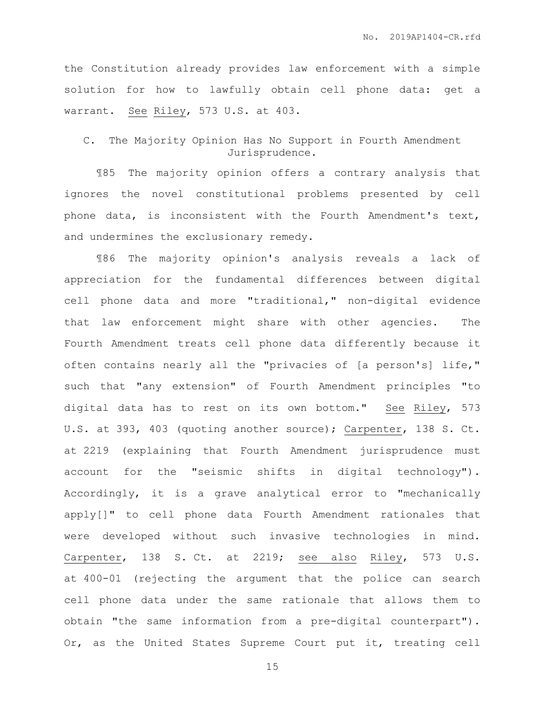the Constitution already provides law enforcement with a simple solution for how to lawfully obtain cell phone data: get a warrant. See Riley, 573 U.S. at 403.

C. The Majority Opinion Has No Support in Fourth Amendment Jurisprudence.

¶85 The majority opinion offers a contrary analysis that ignores the novel constitutional problems presented by cell phone data, is inconsistent with the Fourth Amendment's text, and undermines the exclusionary remedy.

¶86 The majority opinion's analysis reveals a lack of appreciation for the fundamental differences between digital cell phone data and more "traditional," non-digital evidence that law enforcement might share with other agencies. The Fourth Amendment treats cell phone data differently because it often contains nearly all the "privacies of [a person's] life," such that "any extension" of Fourth Amendment principles "to digital data has to rest on its own bottom." See Riley, 573 U.S. at 393, 403 (quoting another source); Carpenter, 138 S. Ct. at 2219 (explaining that Fourth Amendment jurisprudence must account for the "seismic shifts in digital technology"). Accordingly, it is a grave analytical error to "mechanically apply[]" to cell phone data Fourth Amendment rationales that were developed without such invasive technologies in mind. Carpenter, 138 S. Ct. at 2219; see also Riley, 573 U.S. at 400-01 (rejecting the argument that the police can search cell phone data under the same rationale that allows them to obtain "the same information from a pre-digital counterpart"). Or, as the United States Supreme Court put it, treating cell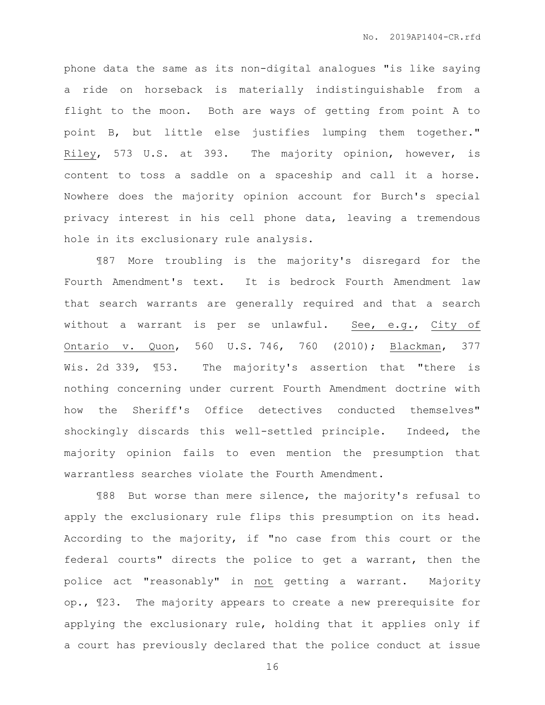phone data the same as its non-digital analogues "is like saying a ride on horseback is materially indistinguishable from a flight to the moon. Both are ways of getting from point A to point B, but little else justifies lumping them together." Riley, 573 U.S. at 393. The majority opinion, however, is content to toss a saddle on a spaceship and call it a horse. Nowhere does the majority opinion account for Burch's special privacy interest in his cell phone data, leaving a tremendous hole in its exclusionary rule analysis.

¶87 More troubling is the majority's disregard for the Fourth Amendment's text. It is bedrock Fourth Amendment law that search warrants are generally required and that a search without a warrant is per se unlawful. See, e.g., City of Ontario v. Quon, 560 U.S. 746, 760 (2010); Blackman, 377 Wis. 2d 339, 153. The majority's assertion that "there is nothing concerning under current Fourth Amendment doctrine with how the Sheriff's Office detectives conducted themselves" shockingly discards this well-settled principle. Indeed, the majority opinion fails to even mention the presumption that warrantless searches violate the Fourth Amendment.

¶88 But worse than mere silence, the majority's refusal to apply the exclusionary rule flips this presumption on its head. According to the majority, if "no case from this court or the federal courts" directs the police to get a warrant, then the police act "reasonably" in not getting a warrant. Majority op., ¶23. The majority appears to create a new prerequisite for applying the exclusionary rule, holding that it applies only if a court has previously declared that the police conduct at issue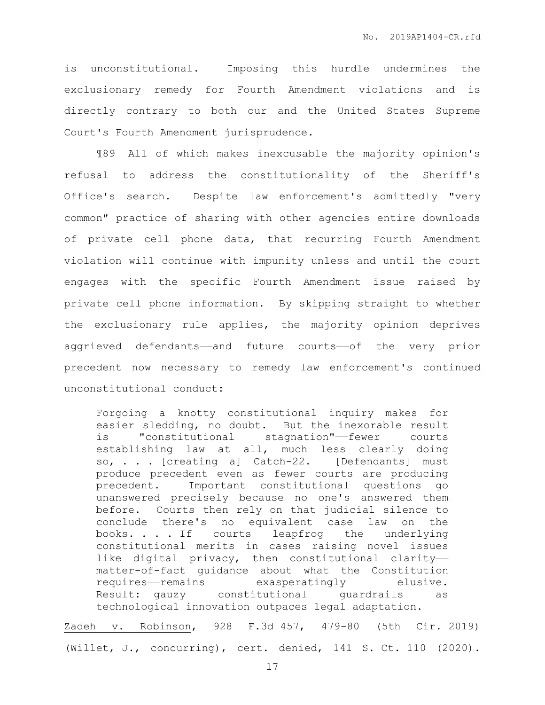is unconstitutional. Imposing this hurdle undermines the exclusionary remedy for Fourth Amendment violations and is directly contrary to both our and the United States Supreme Court's Fourth Amendment jurisprudence.

¶89 All of which makes inexcusable the majority opinion's refusal to address the constitutionality of the Sheriff's Office's search. Despite law enforcement's admittedly "very common" practice of sharing with other agencies entire downloads of private cell phone data, that recurring Fourth Amendment violation will continue with impunity unless and until the court engages with the specific Fourth Amendment issue raised by private cell phone information. By skipping straight to whether the exclusionary rule applies, the majority opinion deprives aggrieved defendants——and future courts——of the very prior precedent now necessary to remedy law enforcement's continued unconstitutional conduct:

Forgoing a knotty constitutional inquiry makes for easier sledding, no doubt. But the inexorable result is "constitutional stagnation"——fewer courts establishing law at all, much less clearly doing so, . . . [creating a] Catch-22. [Defendants] must produce precedent even as fewer courts are producing precedent. Important constitutional questions go unanswered precisely because no one's answered them before. Courts then rely on that judicial silence to conclude there's no equivalent case law on the books. . . . If courts leapfrog the underlying constitutional merits in cases raising novel issues like digital privacy, then constitutional claritymatter-of-fact guidance about what the Constitution requires——remains exasperatingly elusive. Result: gauzy constitutional guardrails as technological innovation outpaces legal adaptation.

Zadeh v. Robinson, 928 F.3d 457, 479-80 (5th Cir. 2019) (Willet, J., concurring), cert. denied, 141 S. Ct. 110 (2020).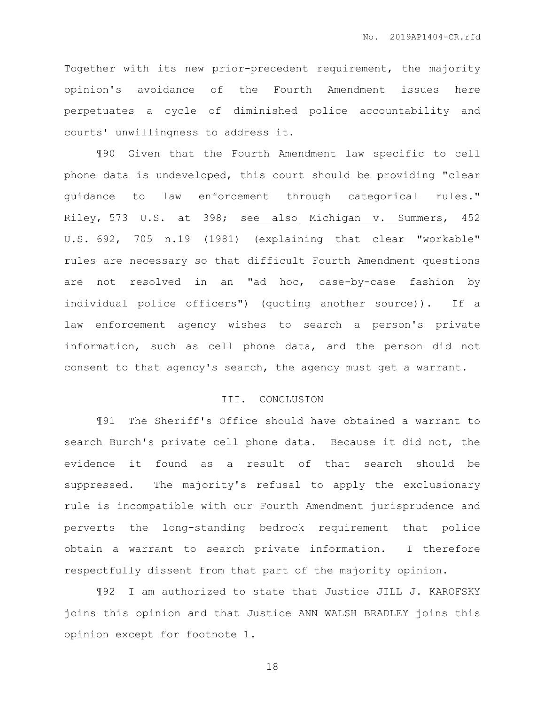Together with its new prior-precedent requirement, the majority opinion's avoidance of the Fourth Amendment issues here perpetuates a cycle of diminished police accountability and courts' unwillingness to address it.

¶90 Given that the Fourth Amendment law specific to cell phone data is undeveloped, this court should be providing "clear guidance to law enforcement through categorical rules." Riley, 573 U.S. at 398; see also Michigan v. Summers, 452 U.S. 692, 705 n.19 (1981) (explaining that clear "workable" rules are necessary so that difficult Fourth Amendment questions are not resolved in an "ad hoc, case-by-case fashion by individual police officers") (quoting another source)). If a law enforcement agency wishes to search a person's private information, such as cell phone data, and the person did not consent to that agency's search, the agency must get a warrant.

# III. CONCLUSION

¶91 The Sheriff's Office should have obtained a warrant to search Burch's private cell phone data. Because it did not, the evidence it found as a result of that search should be suppressed. The majority's refusal to apply the exclusionary rule is incompatible with our Fourth Amendment jurisprudence and perverts the long-standing bedrock requirement that police obtain a warrant to search private information. I therefore respectfully dissent from that part of the majority opinion.

¶92 I am authorized to state that Justice JILL J. KAROFSKY joins this opinion and that Justice ANN WALSH BRADLEY joins this opinion except for footnote 1.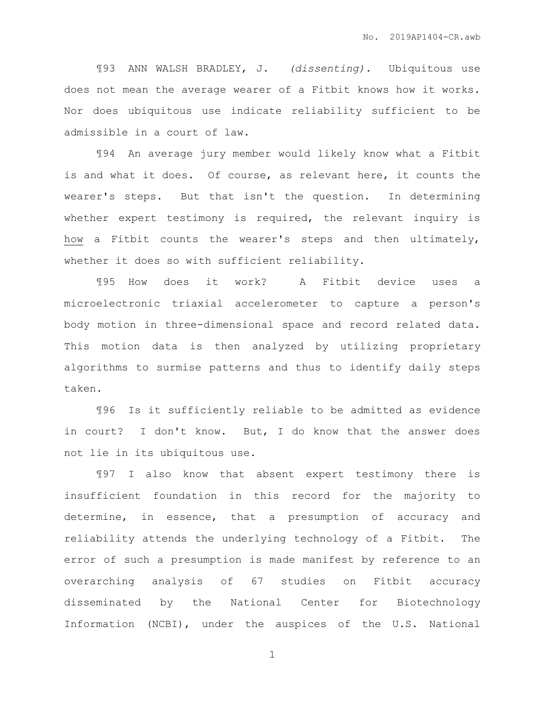¶93 ANN WALSH BRADLEY, J. *(dissenting).* Ubiquitous use does not mean the average wearer of a Fitbit knows how it works. Nor does ubiquitous use indicate reliability sufficient to be admissible in a court of law.

¶94 An average jury member would likely know what a Fitbit is and what it does. Of course, as relevant here, it counts the wearer's steps. But that isn't the question. In determining whether expert testimony is required, the relevant inquiry is how a Fitbit counts the wearer's steps and then ultimately, whether it does so with sufficient reliability.

¶95 How does it work? A Fitbit device uses a microelectronic triaxial accelerometer to capture a person's body motion in three-dimensional space and record related data. This motion data is then analyzed by utilizing proprietary algorithms to surmise patterns and thus to identify daily steps taken.

¶96 Is it sufficiently reliable to be admitted as evidence in court? I don't know. But, I do know that the answer does not lie in its ubiquitous use.

¶97 I also know that absent expert testimony there is insufficient foundation in this record for the majority to determine, in essence, that a presumption of accuracy and reliability attends the underlying technology of a Fitbit. The error of such a presumption is made manifest by reference to an overarching analysis of 67 studies on Fitbit accuracy disseminated by the National Center for Biotechnology Information (NCBI), under the auspices of the U.S. National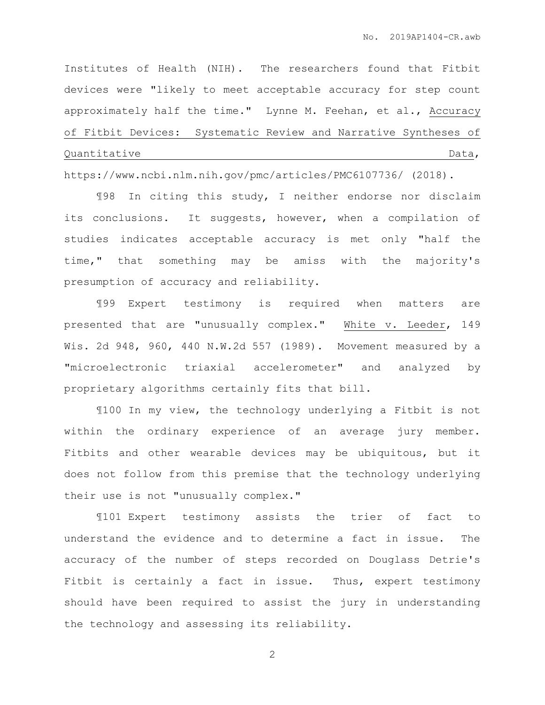Institutes of Health (NIH). The researchers found that Fitbit devices were "likely to meet acceptable accuracy for step count approximately half the time." Lynne M. Feehan, et al., Accuracy of Fitbit Devices: Systematic Review and Narrative Syntheses of Quantitative Data,

https://www.ncbi.nlm.nih.gov/pmc/articles/PMC6107736/ (2018).

¶98 In citing this study, I neither endorse nor disclaim its conclusions. It suggests, however, when a compilation of studies indicates acceptable accuracy is met only "half the time," that something may be amiss with the majority's presumption of accuracy and reliability.

¶99 Expert testimony is required when matters are presented that are "unusually complex." White v. Leeder, 149 Wis. 2d 948, 960, 440 N.W.2d 557 (1989). Movement measured by a "microelectronic triaxial accelerometer" and analyzed by proprietary algorithms certainly fits that bill.

¶100 In my view, the technology underlying a Fitbit is not within the ordinary experience of an average jury member. Fitbits and other wearable devices may be ubiquitous, but it does not follow from this premise that the technology underlying their use is not "unusually complex."

¶101 Expert testimony assists the trier of fact to understand the evidence and to determine a fact in issue. The accuracy of the number of steps recorded on Douglass Detrie's Fitbit is certainly a fact in issue. Thus, expert testimony should have been required to assist the jury in understanding the technology and assessing its reliability.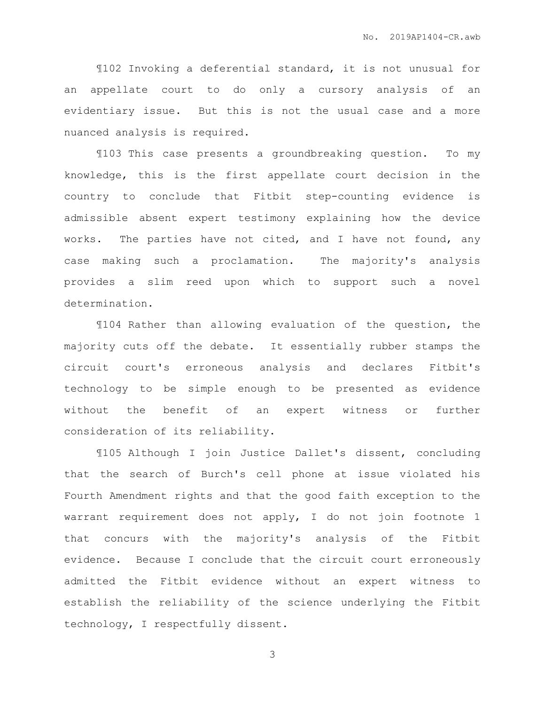¶102 Invoking a deferential standard, it is not unusual for an appellate court to do only a cursory analysis of an evidentiary issue. But this is not the usual case and a more nuanced analysis is required.

¶103 This case presents a groundbreaking question. To my knowledge, this is the first appellate court decision in the country to conclude that Fitbit step-counting evidence is admissible absent expert testimony explaining how the device works. The parties have not cited, and I have not found, any case making such a proclamation. The majority's analysis provides a slim reed upon which to support such a novel determination.

¶104 Rather than allowing evaluation of the question, the majority cuts off the debate. It essentially rubber stamps the circuit court's erroneous analysis and declares Fitbit's technology to be simple enough to be presented as evidence without the benefit of an expert witness or further consideration of its reliability.

¶105 Although I join Justice Dallet's dissent, concluding that the search of Burch's cell phone at issue violated his Fourth Amendment rights and that the good faith exception to the warrant requirement does not apply, I do not join footnote 1 that concurs with the majority's analysis of the Fitbit evidence. Because I conclude that the circuit court erroneously admitted the Fitbit evidence without an expert witness to establish the reliability of the science underlying the Fitbit technology, I respectfully dissent.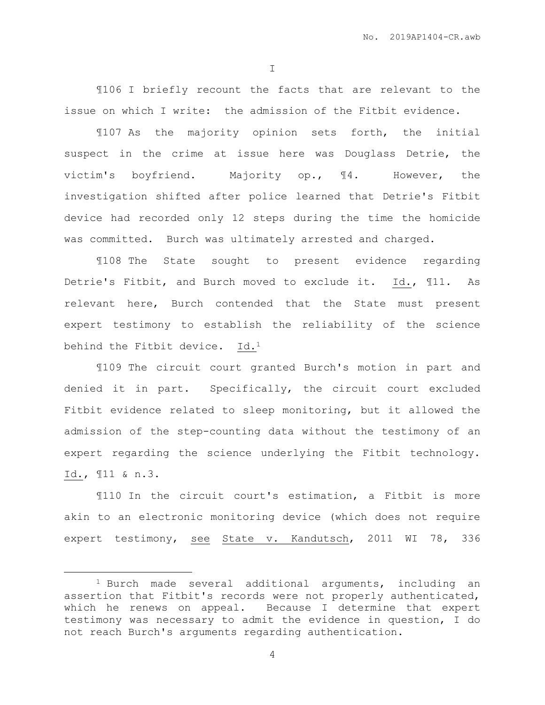I

¶106 I briefly recount the facts that are relevant to the issue on which I write: the admission of the Fitbit evidence.

¶107 As the majority opinion sets forth, the initial suspect in the crime at issue here was Douglass Detrie, the victim's boyfriend. Majority op., ¶4. However, the investigation shifted after police learned that Detrie's Fitbit device had recorded only 12 steps during the time the homicide was committed. Burch was ultimately arrested and charged.

¶108 The State sought to present evidence regarding Detrie's Fitbit, and Burch moved to exclude it. Id., ¶11. As relevant here, Burch contended that the State must present expert testimony to establish the reliability of the science behind the Fitbit device. Id.<sup>1</sup>

¶109 The circuit court granted Burch's motion in part and denied it in part. Specifically, the circuit court excluded Fitbit evidence related to sleep monitoring, but it allowed the admission of the step-counting data without the testimony of an expert regarding the science underlying the Fitbit technology. Id., ¶11 & n.3.

¶110 In the circuit court's estimation, a Fitbit is more akin to an electronic monitoring device (which does not require expert testimony, see State v. Kandutsch, 2011 WI 78, 336

 $\overline{a}$ 

<sup>1</sup> Burch made several additional arguments, including an assertion that Fitbit's records were not properly authenticated, which he renews on appeal. Because I determine that expert testimony was necessary to admit the evidence in question, I do not reach Burch's arguments regarding authentication.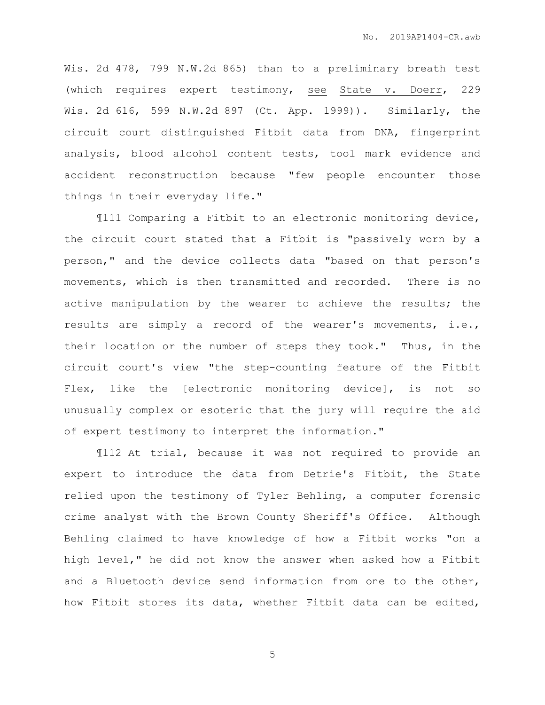Wis. 2d 478, 799 N.W.2d 865) than to a preliminary breath test (which requires expert testimony, see State v. Doerr, 229 Wis. 2d 616, 599 N.W.2d 897 (Ct. App. 1999)). Similarly, the circuit court distinguished Fitbit data from DNA, fingerprint analysis, blood alcohol content tests, tool mark evidence and accident reconstruction because "few people encounter those things in their everyday life."

¶111 Comparing a Fitbit to an electronic monitoring device, the circuit court stated that a Fitbit is "passively worn by a person," and the device collects data "based on that person's movements, which is then transmitted and recorded. There is no active manipulation by the wearer to achieve the results; the results are simply a record of the wearer's movements, i.e., their location or the number of steps they took." Thus, in the circuit court's view "the step-counting feature of the Fitbit Flex, like the [electronic monitoring device], is not so unusually complex or esoteric that the jury will require the aid of expert testimony to interpret the information."

¶112 At trial, because it was not required to provide an expert to introduce the data from Detrie's Fitbit, the State relied upon the testimony of Tyler Behling, a computer forensic crime analyst with the Brown County Sheriff's Office. Although Behling claimed to have knowledge of how a Fitbit works "on a high level," he did not know the answer when asked how a Fitbit and a Bluetooth device send information from one to the other, how Fitbit stores its data, whether Fitbit data can be edited,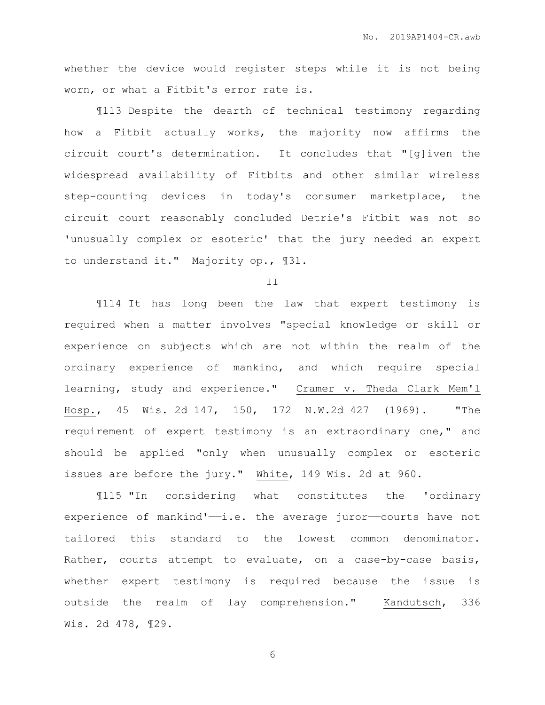whether the device would register steps while it is not being worn, or what a Fitbit's error rate is.

¶113 Despite the dearth of technical testimony regarding how a Fitbit actually works, the majority now affirms the circuit court's determination. It concludes that "[g]iven the widespread availability of Fitbits and other similar wireless step-counting devices in today's consumer marketplace, the circuit court reasonably concluded Detrie's Fitbit was not so 'unusually complex or esoteric' that the jury needed an expert to understand it." Majority op., ¶31.

II

¶114 It has long been the law that expert testimony is required when a matter involves "special knowledge or skill or experience on subjects which are not within the realm of the ordinary experience of mankind, and which require special learning, study and experience." Cramer v. Theda Clark Mem'l Hosp., 45 Wis. 2d 147, 150, 172 N.W.2d 427 (1969). "The requirement of expert testimony is an extraordinary one," and should be applied "only when unusually complex or esoteric issues are before the jury." White, 149 Wis. 2d at 960.

¶115 "In considering what constitutes the 'ordinary experience of mankind' $-i.e.$  the average juror-courts have not tailored this standard to the lowest common denominator. Rather, courts attempt to evaluate, on a case-by-case basis, whether expert testimony is required because the issue is outside the realm of lay comprehension." Kandutsch, 336 Wis. 2d 478, ¶29.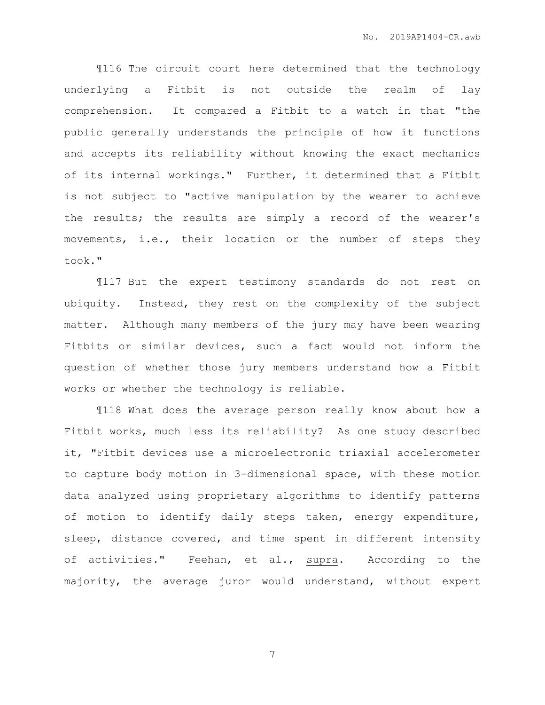¶116 The circuit court here determined that the technology underlying a Fitbit is not outside the realm of lay comprehension. It compared a Fitbit to a watch in that "the public generally understands the principle of how it functions and accepts its reliability without knowing the exact mechanics of its internal workings." Further, it determined that a Fitbit is not subject to "active manipulation by the wearer to achieve the results; the results are simply a record of the wearer's movements, i.e., their location or the number of steps they took."

¶117 But the expert testimony standards do not rest on ubiquity. Instead, they rest on the complexity of the subject matter. Although many members of the jury may have been wearing Fitbits or similar devices, such a fact would not inform the question of whether those jury members understand how a Fitbit works or whether the technology is reliable.

¶118 What does the average person really know about how a Fitbit works, much less its reliability? As one study described it, "Fitbit devices use a microelectronic triaxial accelerometer to capture body motion in 3-dimensional space, with these motion data analyzed using proprietary algorithms to identify patterns of motion to identify daily steps taken, energy expenditure, sleep, distance covered, and time spent in different intensity of activities." Feehan, et al., supra. According to the majority, the average juror would understand, without expert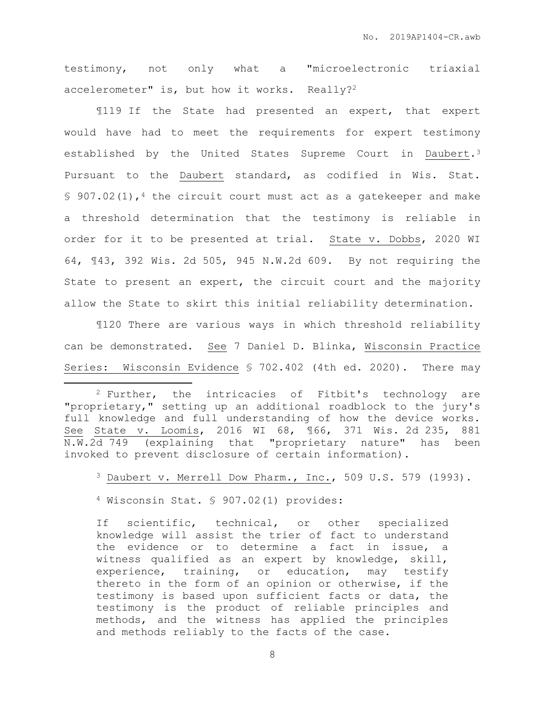testimony, not only what a "microelectronic triaxial accelerometer" is, but how it works. Really?<sup>2</sup>

¶119 If the State had presented an expert, that expert would have had to meet the requirements for expert testimony established by the United States Supreme Court in Daubert.<sup>3</sup> Pursuant to the Daubert standard, as codified in Wis. Stat. § 907.02(1),<sup>4</sup> the circuit court must act as a gatekeeper and make a threshold determination that the testimony is reliable in order for it to be presented at trial. State v. Dobbs, 2020 WI 64, ¶43, 392 Wis. 2d 505, 945 N.W.2d 609. By not requiring the State to present an expert, the circuit court and the majority allow the State to skirt this initial reliability determination.

¶120 There are various ways in which threshold reliability can be demonstrated. See 7 Daniel D. Blinka, Wisconsin Practice Series: Wisconsin Evidence § 702.402 (4th ed. 2020). There may

<sup>3</sup> Daubert v. Merrell Dow Pharm., Inc., 509 U.S. 579 (1993).

<sup>4</sup> Wisconsin Stat. § 907.02(1) provides:

 $\overline{a}$ 

If scientific, technical, or other specialized knowledge will assist the trier of fact to understand the evidence or to determine a fact in issue, a witness qualified as an expert by knowledge, skill, experience, training, or education, may testify thereto in the form of an opinion or otherwise, if the testimony is based upon sufficient facts or data, the testimony is the product of reliable principles and methods, and the witness has applied the principles and methods reliably to the facts of the case.

<sup>2</sup> Further, the intricacies of Fitbit's technology are "proprietary," setting up an additional roadblock to the jury's full knowledge and full understanding of how the device works. See State v. Loomis, 2016 WI 68, ¶66, 371 Wis. 2d 235, 881 N.W.2d 749 (explaining that "proprietary nature" has been invoked to prevent disclosure of certain information).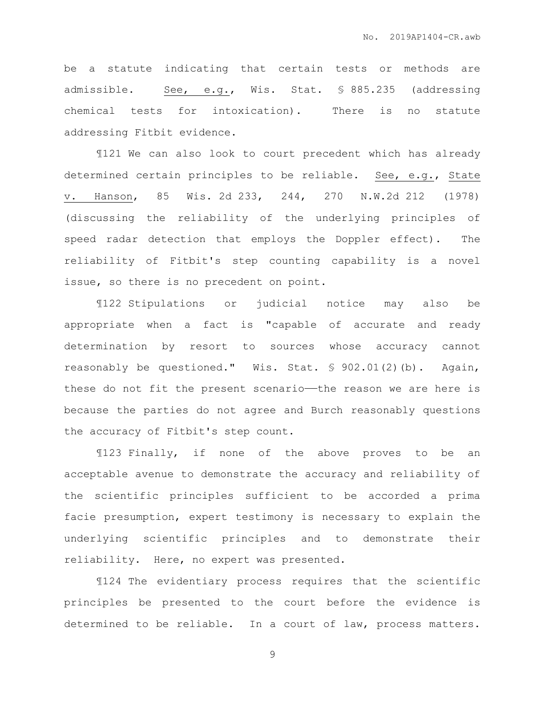be a statute indicating that certain tests or methods are admissible. See, e.g., Wis. Stat. § 885.235 (addressing chemical tests for intoxication). There is no statute addressing Fitbit evidence.

¶121 We can also look to court precedent which has already determined certain principles to be reliable. See, e.g., State v. Hanson, 85 Wis. 2d 233, 244, 270 N.W.2d 212 (1978) (discussing the reliability of the underlying principles of speed radar detection that employs the Doppler effect). The reliability of Fitbit's step counting capability is a novel issue, so there is no precedent on point.

¶122 Stipulations or judicial notice may also be appropriate when a fact is "capable of accurate and ready determination by resort to sources whose accuracy cannot reasonably be questioned." Wis. Stat. § 902.01(2)(b). Again, these do not fit the present scenario—the reason we are here is because the parties do not agree and Burch reasonably questions the accuracy of Fitbit's step count.

¶123 Finally, if none of the above proves to be an acceptable avenue to demonstrate the accuracy and reliability of the scientific principles sufficient to be accorded a prima facie presumption, expert testimony is necessary to explain the underlying scientific principles and to demonstrate their reliability. Here, no expert was presented.

¶124 The evidentiary process requires that the scientific principles be presented to the court before the evidence is determined to be reliable. In a court of law, process matters.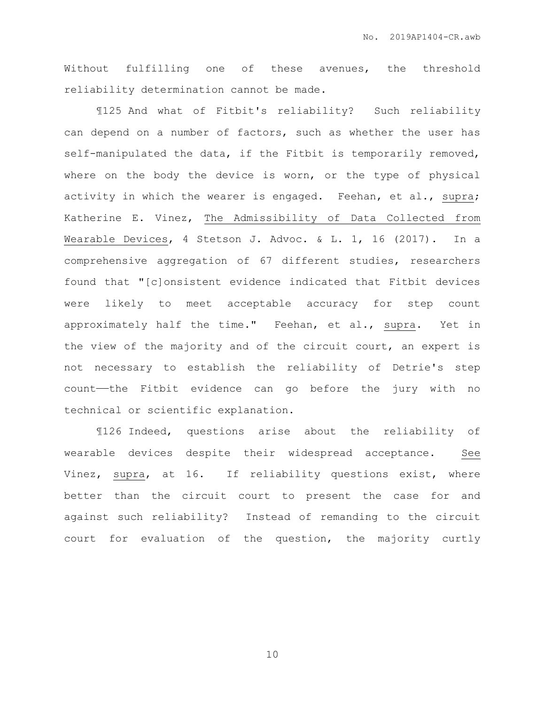Without fulfilling one of these avenues, the threshold reliability determination cannot be made.

¶125 And what of Fitbit's reliability? Such reliability can depend on a number of factors, such as whether the user has self-manipulated the data, if the Fitbit is temporarily removed, where on the body the device is worn, or the type of physical activity in which the wearer is engaged. Feehan, et al., supra; Katherine E. Vinez, The Admissibility of Data Collected from Wearable Devices, 4 Stetson J. Advoc. & L. 1, 16 (2017). In a comprehensive aggregation of 67 different studies, researchers found that "[c]onsistent evidence indicated that Fitbit devices were likely to meet acceptable accuracy for step count approximately half the time." Feehan, et al., supra. Yet in the view of the majority and of the circuit court, an expert is not necessary to establish the reliability of Detrie's step count——the Fitbit evidence can go before the jury with no technical or scientific explanation.

¶126 Indeed, questions arise about the reliability of wearable devices despite their widespread acceptance. See Vinez, supra, at 16. If reliability questions exist, where better than the circuit court to present the case for and against such reliability? Instead of remanding to the circuit court for evaluation of the question, the majority curtly